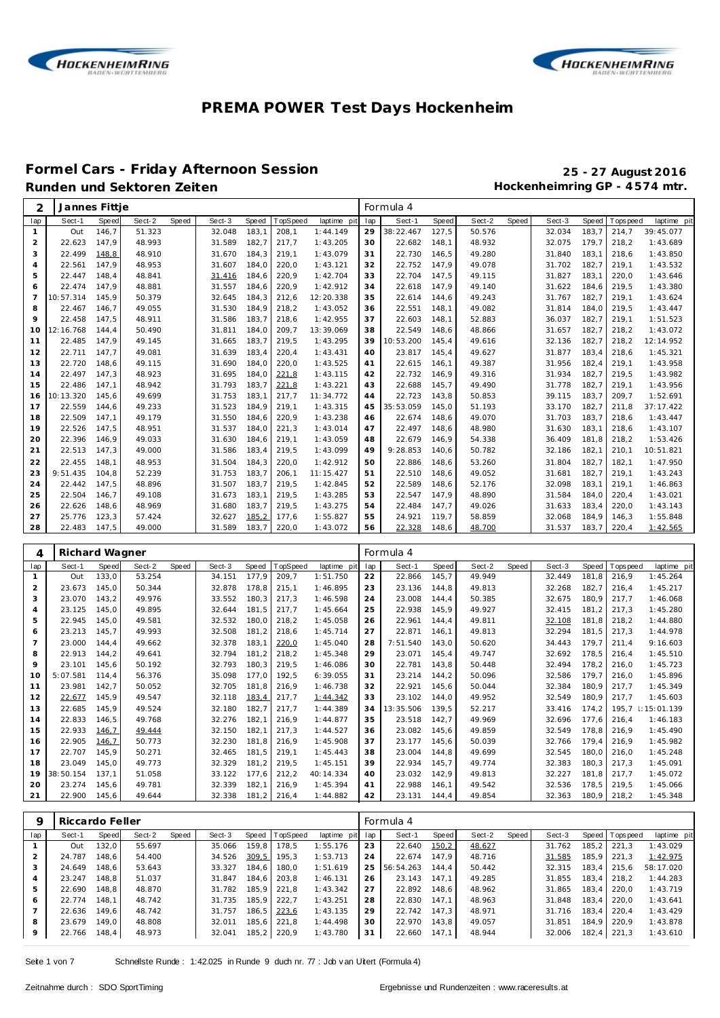



# **Formel Cars - Friday Afternoon Session 25 - 27 August 2016**

Hockenheimring GP - 4574 mtr.

| 2              | Jannes Fittje  |       |        |       |        |       |          |             |     | Formula 4 |       |        |       |        |       |                |             |
|----------------|----------------|-------|--------|-------|--------|-------|----------|-------------|-----|-----------|-------|--------|-------|--------|-------|----------------|-------------|
| lap            | Sect-1         | Speed | Sect-2 | Speed | Sect-3 | Speed | TopSpeed | laptime pit | lap | Sect-1    | Speed | Sect-2 | Speed | Sect-3 | Speed | T ops pee d    | laptime pit |
| $\mathbf{1}$   | Out            | 146.7 | 51.323 |       | 32.048 | 183,1 | 208,1    | 1:44.149    | 29  | 38:22.467 | 127,5 | 50.576 |       | 32.034 | 183.7 | 214,7          | 39:45.077   |
| 2              | 22.623         | 147,9 | 48.993 |       | 31.589 | 182,7 | 217,7    | 1:43.205    | 30  | 22.682    | 148,1 | 48.932 |       | 32.075 | 179,7 | 218,2          | 1:43.689    |
| 3              | 22.499         | 148,8 | 48.910 |       | 31.670 | 184,3 | 219,1    | 1:43.079    | 31  | 22.730    | 146,5 | 49.280 |       | 31.840 | 183,1 | 218,6          | 1:43.850    |
| $\overline{4}$ | 22.561         | 147,9 | 48.953 |       | 31.607 | 184,0 | 220,0    | 1:43.121    | 32  | 22.752    | 147,9 | 49.078 |       | 31.702 | 182,7 | 219,1          | 1:43.532    |
| 5              | 22.447         | 148,4 | 48.841 |       | 31.416 | 184,6 | 220,9    | 1:42.704    | 33  | 22.704    | 147,5 | 49.115 |       | 31.827 | 183,1 | 220,0          | 1:43.646    |
| 6              | 22.474         | 147,9 | 48.881 |       | 31.557 | 184,6 | 220,9    | 1:42.912    | 34  | 22.618    | 147,9 | 49.140 |       | 31.622 | 184,6 | 219,5          | 1:43.380    |
| $\overline{7}$ | 10:57.314      | 145,9 | 50.379 |       | 32.645 | 184,3 | 212,6    | 12:20.338   | 35  | 22.614    | 144,6 | 49.243 |       | 31.767 | 182,7 | 219,1          | 1:43.624    |
| 8              | 22.467         | 146,7 | 49.055 |       | 31.530 | 184,9 | 218,2    | 1:43.052    | 36  | 22.551    | 148,1 | 49.082 |       | 31.814 | 184,0 | 219,5          | 1:43.447    |
| $\circ$        | 22.458         | 147,5 | 48.911 |       | 31.586 | 183,7 | 218,6    | 1:42.955    | 37  | 22.603    | 148,1 | 52.883 |       | 36.037 | 182,7 | 219,1          | 1:51.523    |
| 10             | 12:16.768      | 144.4 | 50.490 |       | 31.811 | 184.0 | 209,7    | 13:39.069   | 38  | 22.549    | 148,6 | 48.866 |       | 31.657 | 182,7 | 218,2          | 1:43.072    |
| 11             | 22.485         | 147.9 | 49.145 |       | 31.665 | 183.7 | 219,5    | 1:43.295    | 39  | 10:53.200 | 145.4 | 49.616 |       | 32.136 | 182,7 | 218,2          | 12:14.952   |
| 12             | 22.711         | 147.7 | 49.081 |       | 31.639 | 183.4 | 220,4    | 1:43.431    | 40  | 23.817    | 145.4 | 49.627 |       | 31.877 | 183.4 | 218.6          | 1:45.321    |
| 13             | 22.720         | 148.6 | 49.115 |       | 31.690 | 184.0 | 220,0    | 1:43.525    | 41  | 22.615    | 146.1 | 49.387 |       | 31.956 | 182,4 | 219.1          | 1:43.958    |
| 14             | 22.497         | 147.3 | 48.923 |       | 31.695 | 184,0 | 221,8    | 1:43.115    | 42  | 22.732    | 146,9 | 49.316 |       | 31.934 | 182,7 | 219.5          | 1:43.982    |
| 15             | 22.486         | 147.1 | 48.942 |       | 31.793 | 183.7 | 221,8    | 1:43.221    | 43  | 22.688    | 145.7 | 49.490 |       | 31.778 | 182.7 | 219.1          | 1:43.956    |
| 16             | 10:13.320      | 145.6 | 49.699 |       | 31.753 | 183.1 | 217,7    | 11:34.772   | 44  | 22.723    | 143,8 | 50.853 |       | 39.115 | 183.7 | 209.7          | 1:52.691    |
| 17             | 22.559         | 144,6 | 49.233 |       | 31.523 | 184.9 | 219,1    | 1:43.315    | 45  | 35:53.059 | 145,0 | 51.193 |       | 33.170 | 182,7 | 211,8          | 37:17.422   |
| 18             | 22.509         | 147.1 | 49.179 |       | 31.550 | 184,6 | 220,9    | 1:43.238    | 46  | 22.674    | 148,6 | 49.070 |       | 31.703 | 183.7 | 218.6          | 1:43.447    |
| 19             | 22.526         | 147,5 | 48.951 |       | 31.537 | 184,0 | 221,3    | 1:43.014    | 47  | 22.497    | 148,6 | 48.980 |       | 31.630 | 183,1 | 218.6          | 1:43.107    |
| 20             | 22.396         | 146,9 | 49.033 |       | 31.630 | 184,6 | 219,1    | 1:43.059    | 48  | 22.679    | 146.9 | 54.338 |       | 36.409 | 181,8 | 218,2          | 1:53.426    |
| 21             | 22.513         | 147,3 | 49.000 |       | 31.586 | 183,4 | 219,5    | 1:43.099    | 49  | 9:28.853  | 140.6 | 50.782 |       | 32.186 | 182,1 | 210.1          | 10:51.821   |
| 22             | 22.455         | 148.1 | 48.953 |       | 31.504 | 184.3 | 220,0    | 1:42.912    | 50  | 22.886    | 148,6 | 53.260 |       | 31.804 | 182,7 | 182.1          | 1:47.950    |
| 23             | 9:51.435       | 104.8 | 52.239 |       | 31.753 | 183,7 | 206,1    | 11:15.427   | 51  | 22.510    | 148,6 | 49.052 |       | 31.681 | 182,7 | 219.1          | 1:43.243    |
| 24             | 22.442         | 147,5 | 48.896 |       | 31.507 | 183.7 | 219,5    | 1:42.845    | 52  | 22.589    | 148,6 | 52.176 |       | 32.098 | 183,1 | 219,1          | 1:46.863    |
| 25             | 22.504         | 146.7 | 49.108 |       | 31.673 | 183,1 | 219,5    | 1:43.285    | 53  | 22.547    | 147,9 | 48.890 |       | 31.584 | 184.0 | 220,4          | 1:43.021    |
| 26             | 22.626         | 148,6 | 48.969 |       | 31.680 | 183,7 | 219,5    | 1:43.275    | 54  | 22.484    | 147,7 | 49.026 |       | 31.633 | 183,4 | 220,0          | 1:43.143    |
| 27             | 25.776         | 123,3 | 57.424 |       | 32.627 | 185,2 | 177,6    | 1:55.827    | 55  | 24.921    | 119,7 | 58.859 |       | 32.068 | 184,9 | 146,3          | 1:55.848    |
| 28             | 22.483         | 147,5 | 49.000 |       | 31.589 | 183,7 | 220,0    | 1:43.072    | 56  | 22.328    | 148,6 | 48.700 |       | 31.537 | 183,7 | 220,4          | 1:42.565    |
|                |                |       |        |       |        |       |          |             |     |           |       |        |       |        |       |                |             |
| 4              | Richard Wagner |       |        |       |        |       |          |             |     | Formula 4 |       |        |       |        |       |                |             |
| lap            | Sect-1         | Speed | Sect-2 | Speed | Sect-3 | Speed | TopSpeed | laptime pit | lap | Sect-1    | Speed | Sect-2 | Speed | Sect-3 |       | Speed Topspeed | laptime pit |

|                |           | . <u>.</u>   |        |       |        |       |                 |             |     |           |       |        |       |        |        |                |             |
|----------------|-----------|--------------|--------|-------|--------|-------|-----------------|-------------|-----|-----------|-------|--------|-------|--------|--------|----------------|-------------|
| lap            | Sect-1    | <b>Speed</b> | Sect-2 | Speed | Sect-3 | Speed | <b>TopSpeed</b> | laptime pit | lap | Sect-1    | Speed | Sect-2 | Speed | Sect-3 |        | Speed Topspeed | laptime pit |
|                | Out       | 133,0        | 53.254 |       | 34.151 | 177,9 | 209,7           | 1:51.750    | 22  | 22.866    | 145,7 | 49.949 |       | 32.449 | 181,8  | 216,9          | 1:45.264    |
| 2              | 23.673    | 145.0        | 50.344 |       | 32.878 | 178,8 | 215,1           | 1:46.895    | 23  | 23.136    | 144,8 | 49.813 |       | 32.268 | 182,7  | 216,4          | 1:45.217    |
| 3              | 23.070    | 143,2        | 49.976 |       | 33.552 | 180,3 | 217.3           | 1:46.598    | 24  | 23.008    | 144.4 | 50.385 |       | 32.675 | 180.9  | 217.7          | 1:46.068    |
| $\overline{4}$ | 23.125    | 145,0        | 49.895 |       | 32.644 | 181.5 | 217,7           | 1:45.664    | 25  | 22.938    | 145,9 | 49.927 |       | 32.415 | 181,2  | 217.3          | 1:45.280    |
| 5              | 22.945    | 145,0        | 49.581 |       | 32.532 | 180,0 | 218,2           | 1:45.058    | 26  | 22.961    | 144,4 | 49.811 |       | 32.108 | 181.8  | 218.2          | 1:44.880    |
| 6              | 23.213    | 145,7        | 49.993 |       | 32.508 | 181.2 | 218.6           | 1:45.714    | 27  | 22.871    | 146.1 | 49.813 |       | 32.294 | 181,5  | 217.3          | 1:44.978    |
| $\overline{7}$ | 23.000    | 144.4        | 49.662 |       | 32.378 | 183,1 | 220,0           | 1:45.040    | 28  | 7:51.540  | 143,0 | 50.620 |       | 34.443 | 179.7  | 211,4          | 9:16.603    |
| 8              | 22.913    | 144,2        | 49.641 |       | 32.794 | 181,2 | 218.2           | 1:45.348    | 29  | 23.071    | 145.4 | 49.747 |       | 32.692 | 178.5  | 216.4          | 1:45.510    |
| 9              | 23.101    | 145,6        | 50.192 |       | 32.793 | 180,3 | 219,5           | 1:46.086    | 30  | 22.781    | 143,8 | 50.448 |       | 32.494 | 178.2  | 216,0          | 1:45.723    |
| 10             | 5:07.581  | 114.4        | 56.376 |       | 35.098 | 177.0 | 192,5           | 6:39.055    | 31  | 23.214    | 144,2 | 50.096 |       | 32.586 | 179.7  | 216.0          | 1:45.896    |
| 11             | 23.981    | 142,7        | 50.052 |       | 32.705 | 181,8 | 216,9           | 1:46.738    | 32  | 22.921    | 145,6 | 50.044 |       | 32.384 | 180.9  | 217.7          | 1:45.349    |
| 12             | 22.677    | 145,9        | 49.547 |       | 32.118 | 183,4 | 217,7           | 1:44.342    | 33  | 23.102    | 144,0 | 49.952 |       | 32.549 | 180,9  | 217,7          | 1:45.603    |
| 13             | 22.685    | 145,9        | 49.524 |       | 32.180 | 182,7 | 217,7           | 1:44.389    | 34  | 13:35.506 | 139,5 | 52.217 |       | 33.416 | 174.2  | 195,7          | 1:15:01.139 |
| 14             | 22.833    | 146,5        | 49.768 |       | 32.276 | 182,1 | 216.9           | 1:44.877    | 35  | 23.518    | 142,7 | 49.969 |       | 32.696 | 177,6  | 216.4          | 1:46.183    |
| 15             | 22.933    | 146,7        | 49.444 |       | 32.150 | 182,1 | 217.3           | 1:44.527    | 36  | 23.082    | 145,6 | 49.859 |       | 32.549 | 178,8  | 216.9          | 1:45.490    |
| 16             | 22.905    | 146,7        | 50.773 |       | 32.230 | 181.8 | 216.9           | 1:45.908    | 37  | 23.177    | 145.6 | 50.039 |       | 32.766 | 179.4  | 216.9          | 1:45.982    |
| 17             | 22.707    | 145.9        | 50.271 |       | 32.465 | 181,5 | 219,1           | 1:45.443    | 38  | 23.004    | 144,8 | 49.699 |       | 32.545 | 180.0  | 216.0          | 1:45.248    |
| 18             | 23.049    | 145,0        | 49.773 |       | 32.329 | 181,2 | 219,5           | 1:45.151    | 39  | 22.934    | 145,7 | 49.774 |       | 32.383 | 180, 3 | 217.3          | 1:45.091    |
| 19             | 38:50.154 | 137.1        | 51.058 |       | 33.122 | 177.6 | 212,2           | 40:14.334   | 40  | 23.032    | 142,9 | 49.813 |       | 32.227 | 181.8  | 217.7          | 1:45.072    |
| 20             | 23.274    | 145.6        | 49.781 |       | 32.339 | 182,1 | 216.9           | 1:45.394    | 41  | 22.988    | 146.1 | 49.542 |       | 32.536 | 178,5  | 219,5          | 1:45.066    |
| 21             | 22.900    | 145,6        | 49.644 |       | 32.338 | 181,2 | 216,4           | 1:44.882    | 42  | 23.131    | 144,4 | 49.854 |       | 32.363 | 180.9  | 218,2          | 1:45.348    |

|               | Riccardo Feller |       |        |       |        |        |          |             |     | Formula 4 |       |        |       |        |         |                |             |
|---------------|-----------------|-------|--------|-------|--------|--------|----------|-------------|-----|-----------|-------|--------|-------|--------|---------|----------------|-------------|
| lap           | Sect-1          | Speed | Sect-2 | Speed | Sect-3 | Speed  | TopSpeed | laptime pit | lap | Sect-1    | Speed | Sect-2 | Speed | Sect-3 |         | Speed Topspeed | laptime pit |
|               | Out             | 132,0 | 55.697 |       | 35.066 | 159.8  | 178.5    | 1:55.176    | 23  | 22.640    | 150,2 | 48.627 |       | 31.762 | 185.2   | 221.3          | 1:43.029    |
| $\mathcal{P}$ | 24.787          | 148.6 | 54.400 |       | 34.526 | 309,5  | 195.3    | 1:53.713    | 24  | 22.674    | 147.9 | 48.716 |       | 31.585 | 185.9 I | 221.3          | 1:42.975    |
| 3             | 24.649          | 148.6 | 53.643 |       | 33.327 | 184.6  | 180.0    | 1:51.619    | 25  | 56:54.263 | 144.4 | 50.442 |       | 32.315 | 183.4   | 215.6          | 58:17.020   |
| 4             | 23.247          | 148.8 | 51.037 |       | 31.847 | 184.6  | 203.8    | 1:46.131    | 26  | 23.143    | 147.1 | 49.285 |       | 31.855 | 183.4   | 218.2          | 1:44.283    |
| 5             | 22.690          | 148.8 | 48.870 |       | 31.782 | 185.9  | 221.8    | 1:43.342    | 27  | 22.892    | 148.6 | 48.962 |       | 31.865 | 183.4   | 220.0          | 1:43.719    |
| 6             | 22.774          | 148.1 | 48.742 |       | 31.735 | 185.9  | 222.7    | 1:43.251    | 28  | 22.830    | 147.1 | 48.963 |       | 31.848 | 183.4   | 220.0          | 1:43.641    |
|               | 22.636          | 149.6 | 48.742 |       | 31.757 | 186,5  | 223,6    | 1:43.135    | 29  | 22.742    | 147.3 | 48.971 |       | 31.716 | 183.4   | 220.4          | 1:43.429    |
| 8             | 23.679          | 149.0 | 48.808 |       | 32.011 | 185,6  | 221.8    | 1:44.498    | 30  | 22.970    | 143.8 | 49.057 |       | 31.851 | 184.9   | 220.9          | 1:43.878    |
| $\circ$       | 22.766          | 148,4 | 48.973 |       | 32.041 | 185, 2 | 220,9    | 1:43.780    | 31  | 22.660    | 147,1 | 48.944 |       | 32.006 | 182,4   | 221,3          | 1:43.610    |

Seite 1 von 7 Schnellste Runde : 1:42.025 in Runde 9 duch nr. 77 : Job v an Uitert (Formula 4)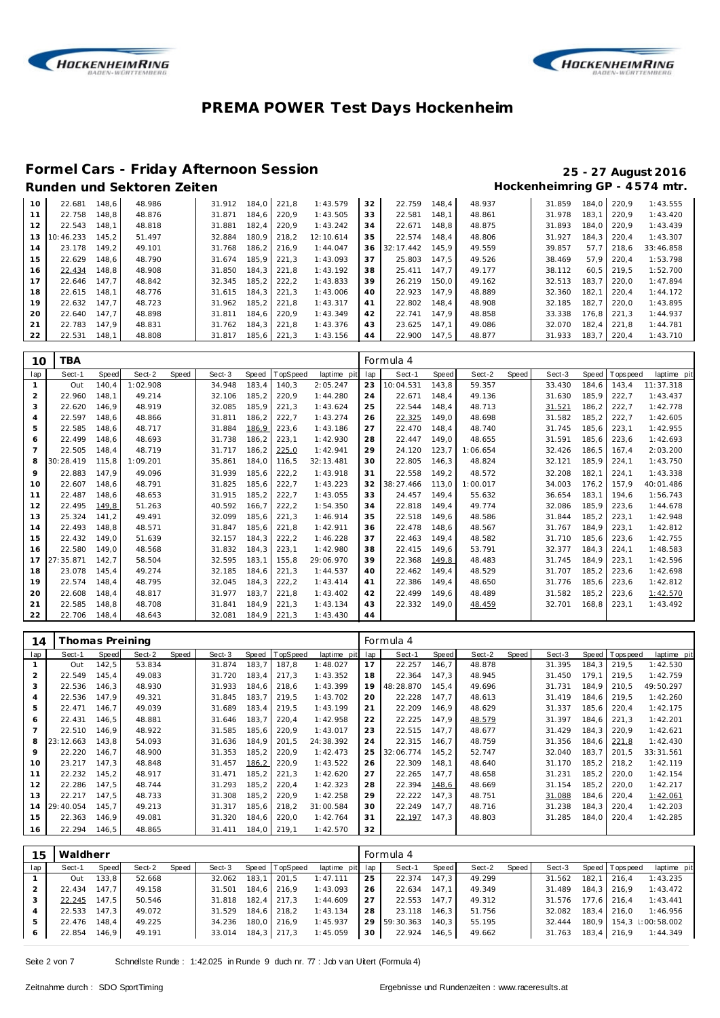



# **Formel Cars - Friday Afternoon Session 25 - 27 August 2016**

### Hockenheimring GP - 4574 mtr.

| 10 | 22.681    | 148.6 | 48.986 | 31.912 | 184.0 | 221.8 | 1:43.579  | 32 | 22.759    | 148.4 | 48.937 | 31.859 | 184.0 | 220.9 | 1:43.555  |
|----|-----------|-------|--------|--------|-------|-------|-----------|----|-----------|-------|--------|--------|-------|-------|-----------|
|    | 22.758    | 148.8 | 48.876 | 31.871 | 184.6 | 220.9 | 1:43.505  | 33 | 22.581    | 148.1 | 48.861 | 31.978 | 183.1 | 220.9 | 1:43.420  |
| 12 | 22.543    | 148.1 | 48.818 | 31.881 | 182.4 | 220.9 | 1:43.242  | 34 | 22.671    | 148.8 | 48.875 | 31.893 | 184.0 | 220.9 | 1:43.439  |
| 13 | 10:46.233 | 145.2 | 51.497 | 32.884 | 180.9 | 218.2 | 12:10.614 | 35 | 22.574    | 148.4 | 48.806 | 31.927 | 184.3 | 220.4 | 1:43.307  |
| 14 | 23.178    | 149.2 | 49.101 | 31.768 | 186.2 | 216.9 | 1:44.047  | 36 | 32:17.442 | 145.9 | 49.559 | 39.857 | 57.7  | 218.6 | 33:46.858 |
| 15 | 22.629    | 148,6 | 48.790 | 31.674 | 185.9 | 221.3 | 1:43.093  | 37 | 25.803    | 147.5 | 49.526 | 38.469 | 57.9  | 220.4 | 1:53.798  |
| 16 | 22.434    | 148.8 | 48.908 | 31.850 | 184.3 | 221.8 | 1:43.192  | 38 | 25.411    | 147.7 | 49.177 | 38.112 | 60.5  | 219.5 | 1:52.700  |
| 17 | 22.646    | 147.7 | 48.842 | 32.345 | 185.2 | 222.2 | 1:43.833  | 39 | 26.219    | 150.0 | 49.162 | 32.513 | 183.7 | 220.0 | 1:47.894  |
| 18 | 22.615    | 148.1 | 48.776 | 31.615 | 184.3 | 221.3 | 1:43.006  | 40 | 22.923    | 147.9 | 48.889 | 32.360 | 182.1 | 220.4 | 1:44.172  |
| 19 | 22.632    | 147.7 | 48.723 | 31.962 | 185.2 | 221.8 | 1:43.317  | 41 | 22.802    | 148.4 | 48.908 | 32.185 | 182.7 | 220.0 | 1:43.895  |
| 20 | 22.640    | 147.7 | 48.898 | 31.811 | 184.6 | 220.9 | 1:43.349  | 42 | 22.741    | 147.9 | 48.858 | 33.338 | 176.8 | 221.3 | 1:44.937  |
| 21 | 22.783    | 147.9 | 48.831 | 31.762 | 184.3 | 221.8 | 1:43.376  | 43 | 23.625    | 147.1 | 49.086 | 32.070 | 182.4 | 221.8 | 1:44.781  |
| 22 | 22.531    | 148.1 | 48.808 | 31.817 | 185,6 | 221,3 | 1:43.156  | 44 | 22.900    | 147.5 | 48.877 | 31.933 | 183.7 | 220,4 | 1:43.710  |

| 10             | TBA       |       |          |       |        |       |          |             |     | Formula 4 |       |          |       |        |        |          |             |
|----------------|-----------|-------|----------|-------|--------|-------|----------|-------------|-----|-----------|-------|----------|-------|--------|--------|----------|-------------|
| lap            | Sect-1    | Speed | Sect-2   | Speed | Sect-3 | Speed | TopSpeed | laptime pit | lap | Sect-1    | Speed | Sect-2   | Speed | Sect-3 | Speed  | Topspeed | laptime pit |
| $\mathbf{1}$   | Out       | 140.4 | 1:02.908 |       | 34.948 | 183.4 | 140,3    | 2:05.247    | 23  | 10:04.531 | 143,8 | 59.357   |       | 33.430 | 184.6  | 143,4    | 11:37.318   |
| 2              | 22.960    | 148.1 | 49.214   |       | 32.106 | 185.2 | 220.9    | 1:44.280    | 24  | 22.671    | 148.4 | 49.136   |       | 31.630 | 185.9  | 222.7    | 1:43.437    |
| 3              | 22.620    | 146.9 | 48.919   |       | 32.085 | 185.9 | 221,3    | 1:43.624    | 25  | 22.544    | 148,4 | 48.713   |       | 31.521 | 186,2  | 222,7    | 1:42.778    |
| $\overline{a}$ | 22.597    | 148.6 | 48.866   |       | 31.811 | 186,2 | 222,7    | 1:43.274    | 26  | 22.325    | 149,0 | 48.698   |       | 31.582 | 185,2  | 222,7    | 1:42.605    |
| 5              | 22.585    | 148.6 | 48.717   |       | 31.884 | 186,9 | 223,6    | 1:43.186    | 27  | 22.470    | 148.4 | 48.740   |       | 31.745 | 185.6  | 223,1    | 1:42.955    |
| 6              | 22.499    | 148,6 | 48.693   |       | 31.738 | 186,2 | 223,1    | 1:42.930    | 28  | 22.447    | 149,0 | 48.655   |       | 31.591 | 185,6  | 223,6    | 1:42.693    |
|                | 22.505    | 148.4 | 48.719   |       | 31.717 | 186.2 | 225,0    | 1:42.941    | 29  | 24.120    | 123,7 | 1:06.654 |       | 32.426 | 186.5  | 167.4    | 2:03.200    |
| 8              | 30:28.419 | 115.8 | 1:09.201 |       | 35.861 | 184,0 | 116,5    | 32:13.481   | 30  | 22.805    | 146,3 | 48.824   |       | 32.121 | 185,9  | 224,1    | 1:43.750    |
| 9              | 22.883    | 147.9 | 49.096   |       | 31.939 | 185.6 | 222,2    | 1:43.918    | 31  | 22.558    | 149.2 | 48.572   |       | 32.208 | 182.1  | 224,1    | 1:43.338    |
| 10             | 22.607    | 148.6 | 48.791   |       | 31.825 | 185,6 | 222,7    | 1:43.223    | 32  | 38:27.466 | 113,0 | 1:00.017 |       | 34.003 | 176,2  | 157,9    | 40:01.486   |
| 11             | 22.487    | 148.6 | 48.653   |       | 31.915 | 185.2 | 222,7    | 1:43.055    | 33  | 24.457    | 149.4 | 55.632   |       | 36.654 | 183.1  | 194.6    | 1:56.743    |
| 12             | 22.495    | 149,8 | 51.263   |       | 40.592 | 166.7 | 222,2    | 1:54.350    | 34  | 22.818    | 149.4 | 49.774   |       | 32.086 | 185.9  | 223,6    | 1:44.678    |
| 13             | 25.324    | 141,2 | 49.491   |       | 32.099 | 185,6 | 221,3    | 1:46.914    | 35  | 22.518    | 149,6 | 48.586   |       | 31.844 | 185, 2 | 223,1    | 1:42.948    |
| 14             | 22.493    | 148,8 | 48.571   |       | 31.847 | 185,6 | 221,8    | 1:42.911    | 36  | 22.478    | 148,6 | 48.567   |       | 31.767 | 184.9  | 223,1    | 1:42.812    |
| 15             | 22.432    | 149.0 | 51.639   |       | 32.157 | 184.3 | 222,2    | 1:46.228    | 37  | 22.463    | 149.4 | 48.582   |       | 31.710 | 185.6  | 223.6    | 1:42.755    |
| 16             | 22.580    | 149.0 | 48.568   |       | 31.832 | 184.3 | 223,1    | 1:42.980    | 38  | 22.415    | 149.6 | 53.791   |       | 32.377 | 184,3  | 224,1    | 1:48.583    |
| 17             | 27:35.871 | 142,7 | 58.504   |       | 32.595 | 183.1 | 155,8    | 29:06.970   | 39  | 22.368    | 149,8 | 48.483   |       | 31.745 | 184.9  | 223,1    | 1:42.596    |
| 18             | 23.078    | 145,4 | 49.274   |       | 32.185 | 184.6 | 221,3    | 1:44.537    | 40  | 22.462    | 149,4 | 48.529   |       | 31.707 | 185,2  | 223,6    | 1:42.698    |
| 19             | 22.574    | 148.4 | 48.795   |       | 32.045 | 184.3 | 222,2    | 1:43.414    | 41  | 22.386    | 149.4 | 48.650   |       | 31.776 | 185.6  | 223,6    | 1:42.812    |
| 20             | 22.608    | 148.4 | 48.817   |       | 31.977 | 183.7 | 221,8    | 1:43.402    | 42  | 22.499    | 149.6 | 48.489   |       | 31.582 | 185,2  | 223,6    | 1:42.570    |
| 21             | 22.585    | 148.8 | 48.708   |       | 31.841 | 184.9 | 221,3    | 1:43.134    | 43  | 22.332    | 149,0 | 48.459   |       | 32.701 | 168,8  | 223,1    | 1:43.492    |
| 22             | 22.706    | 148.4 | 48.643   |       | 32.081 | 184.9 | 221,3    | 1:43.430    | 44  |           |       |          |       |        |        |          |             |

| 14  | Thomas Preining |       |        |       |        |       |          |             |     | Formula 4 |       |        |       |        |       |                   |             |
|-----|-----------------|-------|--------|-------|--------|-------|----------|-------------|-----|-----------|-------|--------|-------|--------|-------|-------------------|-------------|
| lap | Sect-1          | Speed | Sect-2 | Speed | Sect-3 | Speed | TopSpeed | laptime pit | lap | Sect-1    | Speed | Sect-2 | Speed | Sect-3 |       | Speed   Tops peed | laptime pit |
|     | Out             | 142.5 | 53.834 |       | 31.874 | 183.7 | 187.8    | 1:48.027    | 17  | 22.257    | 146.7 | 48.878 |       | 31.395 | 184.3 | 219.5             | 1:42.530    |
| 2   | 22.549          | 145,4 | 49.083 |       | 31.720 | 183,4 | 217,3    | 1:43.352    | 18  | 22.364    | 147.3 | 48.945 |       | 31.450 | 179.1 | 219.5             | 1:42.759    |
| 3   | 22.536          | 146,3 | 48.930 |       | 31.933 | 184,6 | 218,6    | 1:43.399    | 19  | 48:28.870 | 145,4 | 49.696 |       | 31.731 | 184.9 | 210.5             | 49:50.297   |
| 4   | 22.536          | 147.9 | 49.321 |       | 31.845 | 183.7 | 219.5    | 1:43.702    | 20  | 22.228    | 147.7 | 48.613 |       | 31.419 | 184.6 | 219.5             | 1:42.260    |
| 5   | 22.471          | 146,7 | 49.039 |       | 31.689 | 183,4 | 219,5    | 1:43.199    | 21  | 22.209    | 146,9 | 48.629 |       | 31.337 | 185,6 | 220,4             | 1:42.175    |
| 6   | 22.431          | 146.5 | 48.881 |       | 31.646 | 183,7 | 220,4    | 1:42.958    | 22  | 22.225    | 147.9 | 48.579 |       | 31.397 | 184.6 | 221.3             | 1:42.201    |
|     | 22.510          | 146.9 | 48.922 |       | 31.585 | 185,6 | 220,9    | 1:43.017    | 23  | 22.515    | 147.7 | 48.677 |       | 31.429 | 184.3 | 220,9             | 1:42.621    |
| 8   | 23:12.663       | 143.8 | 54.093 |       | 31.636 | 184.9 | 201,5    | 24:38.392   | 24  | 22.315    | 146.7 | 48.759 |       | 31.356 | 184.6 | 221,8             | 1:42.430    |
| 9   | 22.220          | 146.7 | 48.900 |       | 31.353 | 185,2 | 220,9    | 1:42.473    | 25  | 32:06.774 | 145.2 | 52.747 |       | 32.040 | 183.7 | 201.5             | 33:31.561   |
| 10  | 23.217          | 147.3 | 48.848 |       | 31.457 | 186,2 | 220,9    | 1:43.522    | 26  | 22.309    | 148,1 | 48.640 |       | 31.170 | 185,2 | 218.2             | 1:42.119    |
| 11  | 22.232          | 145,2 | 48.917 |       | 31.471 | 185,2 | 221,3    | 1:42.620    | 27  | 22.265    | 147.7 | 48.658 |       | 31.231 | 185,2 | 220,0             | 1:42.154    |
| 12  | 22.286          | 147.5 | 48.744 |       | 31.293 | 185,2 | 220,4    | 1:42.323    | 28  | 22.394    | 148,6 | 48.669 |       | 31.154 | 185,2 | 220,0             | 1:42.217    |
| 13  | 22.217          | 147.5 | 48.733 |       | 31.308 | 185.2 | 220.9    | 1:42.258    | 29  | 22.222    | 147.3 | 48.751 |       | 31.088 | 184.6 | 220,4             | 1:42.061    |
| 14  | 29:40.054       | 145.7 | 49.213 |       | 31.317 | 185,6 | 218,2    | 31:00.584   | 30  | 22.249    | 147.7 | 48.716 |       | 31.238 | 184.3 | 220,4             | 1:42.203    |
| 15  | 22.363          | 146.9 | 49.081 |       | 31.320 | 184,6 | 220,0    | 1:42.764    | 31  | 22.197    | 147,3 | 48.803 |       | 31.285 | 184.0 | 220,4             | 1:42.285    |
| 16  | 22.294          | 146,5 | 48.865 |       | 31.411 | 184,0 | 219.1    | 1:42.570    | 32  |           |       |        |       |        |       |                   |             |

| 15  | Waldherr |       |        |       |        |       |                 |                 |    | Formula 4 |       |        |       |        |       |                 |                         |
|-----|----------|-------|--------|-------|--------|-------|-----------------|-----------------|----|-----------|-------|--------|-------|--------|-------|-----------------|-------------------------|
| lap | Sect-1   | Speed | Sect-2 | Speed | Sect-3 |       | Speed TopSpeed  | laptime pit lap |    | Sect-1    | Speed | Sect-2 | Speed | Sect-3 |       | Speed Tops peed | laptime pit             |
|     | Out      | 133,8 | 52.668 |       | 32.062 | 183.1 | 201.5           | 1:47.111        | 25 | 22.374    | 147.3 | 49.299 |       | 31.562 | 182.1 | 216.4           | 1:43.235                |
|     | 22.434   | 147.7 | 49.158 |       | 31.501 |       | 184,6 216,9     | 1:43.093        | 26 | 22.634    | 147.1 | 49.349 |       | 31.489 |       | $184.3$   216.9 | 1:43.472                |
| 3   | 22.245   | 147.5 | 50.546 |       | 31.818 |       | $182.4$   217.3 | 1:44.609        | 27 | 22.553    | 147.7 | 49.312 |       | 31.576 |       | 177.6 216.4     | 1:43.441                |
|     | 22.533   | 147.3 | 49.072 |       | 31.529 |       | 184.6 218.2     | 1:43.134        | 28 | 23.118    | 146.3 | 51.756 |       | 32.082 |       | $183.4$ 216.0   | 1:46.956                |
|     | 22.476   | 148.4 | 49.225 |       | 34.236 |       | 180.0 216.9     | 1:45.937        | 29 | 59:30.363 | 140.3 | 55.195 |       | 32.444 |       |                 | 180.9 154.3 : 00:58.002 |
| 6   | 22.854   | 146.9 | 49.191 |       | 33.014 |       | 184,3 217,3     | 1:45.059        | 30 | 22.924    | 146.5 | 49.662 |       | 31.763 |       | 183,4 216,9     | 1:44.349                |

Seite 2 von 7 Schnellste Runde : 1:42.025 in Runde 9 duch nr. 77 : Job v an Uitert (Formula 4)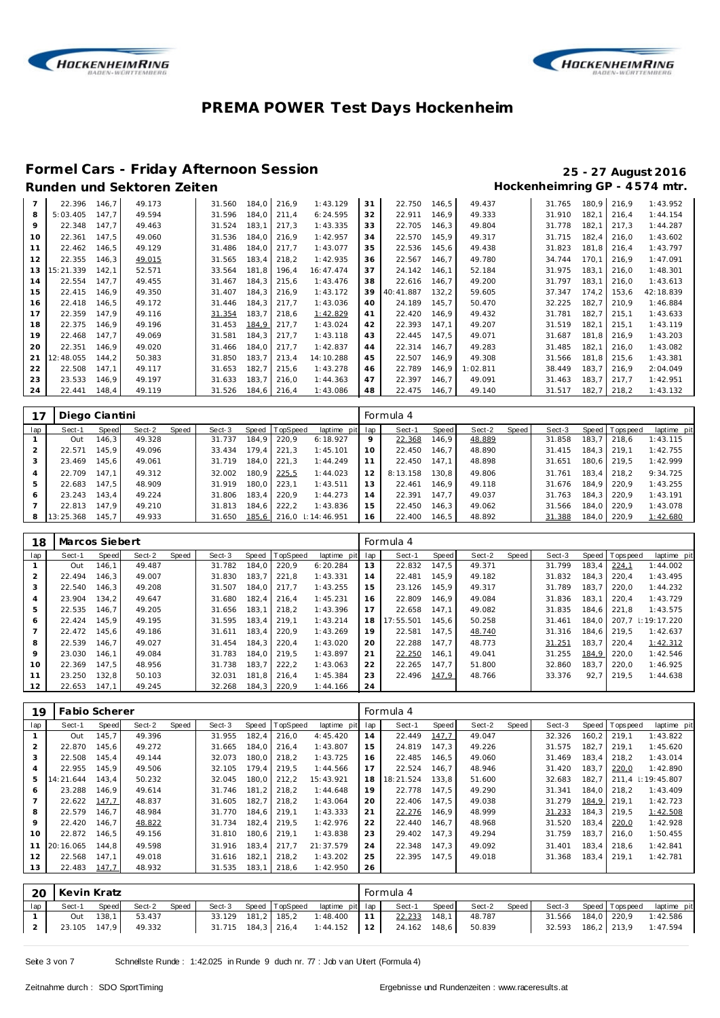



# **Formel Cars - Friday Afternoon Session 25 - 27 August 2016**

## Hockenheimring GP - 4574 mtr.

|         | 22.396    | 146,7 | 49.173 | 31.560 | 184,0 | 216,9 | 1:43.129  | 31 | 22.750    | 146.5 | 49.437   | 31.765 | 180,9 | 216,9 | 1:43.952  |
|---------|-----------|-------|--------|--------|-------|-------|-----------|----|-----------|-------|----------|--------|-------|-------|-----------|
| 8       | 5:03.405  | 147.7 | 49.594 | 31.596 | 184.0 | 211,4 | 6:24.595  | 32 | 22.911    | 146.9 | 49.333   | 31.910 | 182,1 | 216.4 | 1:44.154  |
| $\circ$ | 22.348    | 147.7 | 49.463 | 31.524 | 183,1 | 217.3 | 1:43.335  | 33 | 22.705    | 146.3 | 49.804   | 31.778 | 182,1 | 217.3 | 1:44.287  |
| 10      | 22.361    | 147.5 | 49.060 | 31.536 | 184.0 | 216.9 | 1:42.957  | 34 | 22.570    | 145.9 | 49.317   | 31.715 | 182,4 | 216.0 | 1:43.602  |
|         | 22.462    | 146.5 | 49.129 | 31.486 | 184.0 | 217.7 | 1:43.077  | 35 | 22.536    | 145.6 | 49.438   | 31.823 | 181.8 | 216.4 | 1:43.797  |
| 12      | 22.355    | 146,3 | 49.015 | 31.565 | 183,4 | 218,2 | 1:42.935  | 36 | 22.567    | 146.7 | 49.780   | 34.744 | 170,1 | 216.9 | 1:47.091  |
| 13      | 15:21.339 | 142.1 | 52.571 | 33.564 | 181.8 | 196.4 | 16:47.474 | 37 | 24.142    | 146.1 | 52.184   | 31.975 | 183.1 | 216.0 | 1:48.301  |
| 14      | 22.554    | 147.7 | 49.455 | 31.467 | 184.3 | 215,6 | 1:43.476  | 38 | 22.616    | 146.7 | 49.200   | 31.797 | 183.1 | 216.0 | 1:43.613  |
| 15      | 22.415    | 146.9 | 49.350 | 31.407 | 184.3 | 216.9 | 1:43.172  | 39 | 40:41.887 | 132.2 | 59.605   | 37.347 | 174.2 | 153.6 | 42:18.839 |
| 16      | 22.418    | 146,5 | 49.172 | 31.446 | 184,3 | 217,7 | 1:43.036  | 40 | 24.189    | 145.7 | 50.470   | 32.225 | 182,7 | 210.9 | 1:46.884  |
| 17      | 22.359    | 147.9 | 49.116 | 31.354 | 183,7 | 218.6 | 1:42.829  | 41 | 22.420    | 146.9 | 49.432   | 31.781 | 182,7 | 215.1 | 1:43.633  |
| 18      | 22.375    | 146.9 | 49.196 | 31.453 | 184,9 | 217.7 | 1:43.024  | 42 | 22.393    | 147.1 | 49.207   | 31.519 | 182,1 | 215.1 | 1:43.119  |
| 19      | 22.468    | 147.7 | 49.069 | 31.581 | 184,3 | 217,7 | 1:43.118  | 43 | 22.445    | 147.5 | 49.071   | 31.687 | 181,8 | 216.9 | 1:43.203  |
| 20      | 22.351    | 146.9 | 49.020 | 31.466 | 184.0 | 217.7 | 1:42.837  | 44 | 22.314    | 146.7 | 49.283   | 31.485 | 182,1 | 216.0 | 1:43.082  |
| 21      | 12:48.055 | 144.2 | 50.383 | 31.850 | 183.7 | 213,4 | 14:10.288 | 45 | 22.507    | 146.9 | 49.308   | 31.566 | 181.8 | 215.6 | 1:43.381  |
| 22      | 22.508    | 147.1 | 49.117 | 31.653 | 182.7 | 215.6 | 1:43.278  | 46 | 22.789    | 146.9 | 1:02.811 | 38.449 | 183.7 | 216.9 | 2:04.049  |
| 23      | 23.533    | 146.9 | 49.197 | 31.633 | 183.7 | 216.0 | 1:44.363  | 47 | 22.397    | 146.7 | 49.091   | 31.463 | 183.7 | 217.7 | 1:42.951  |
| 24      | 22.441    | 148.4 | 49.119 | 31.526 | 184.6 | 216,4 | 1:43.086  | 48 | 22.475    | 146.7 | 49.140   | 31.517 | 182.7 | 218,2 | 1:43.132  |

| 17             | Diego Ciantini |       |        |       |        |       |                |                    |    | Formula 4 |       |        |       |        |         |                |             |
|----------------|----------------|-------|--------|-------|--------|-------|----------------|--------------------|----|-----------|-------|--------|-------|--------|---------|----------------|-------------|
| lap            | Sect-1         | Speed | Sect-2 | Speed | Sect-3 |       | Speed TopSpeed | laptime pit lap    |    | Sect-1    | Speed | Sect-2 | Speed | Sect-3 |         | Speed Topspeed | laptime pit |
|                | Out            | 146.3 | 49.328 |       | 31.737 | 184.9 | 220.9          | 6:18.927           | 9  | 22.368    | 146.9 | 48.889 |       | 31.858 | 183,7   | 218.6          | 1:43.115    |
|                | 22.571         | 145.9 | 49.096 |       | 33.434 | 179.4 | 221.3          | 1:45.101           | 10 | 22.450    | 146.7 | 48.890 |       | 31.415 | 184.3 I | 219.1          | 1:42.755    |
|                | 23.469         | 145.6 | 49.061 |       | 31.719 | 184.0 | 221.3          | 1:44.249           |    | 22.450    | 147.1 | 48.898 |       | 31.651 | 180.6 I | 219.5          | 1:42.999    |
| $\overline{4}$ | 22.709         | 147.1 | 49.312 |       | 32.002 | 180.9 | 225,5          | 1:44.023           | 12 | 8:13.158  | 130.8 | 49.806 |       | 31.761 | 183.4   | 218.2          | 9:34.725    |
| 5              | 22.683         | 147.5 | 48.909 |       | 31.919 | 180.0 | 223.1          | 1:43.511           |    | 22.461    | 146.9 | 49.118 |       | 31.676 | 184.9   | 220.9          | 1:43.255    |
|                | 23.243         | 143.4 | 49.224 |       | 31.806 | 183.4 | 220.9          | 1:44.273           | 14 | 22.391    | 147.7 | 49.037 |       | 31.763 | 184.3   | 220.9          | 1:43.191    |
|                | 22.813         | 147.9 | 49.210 |       | 31.813 | 184.6 | 222.2          | 1:43.836           | 15 | 22.450    | 146.3 | 49.062 |       | 31.566 | 184.0   | 220.9          | 1:43.078    |
|                | 13:25.368      | 145.7 | 49.933 |       | 31.650 | 185,6 |                | 216.0 : 14: 46.951 | 16 | 22.400    | 146.5 | 48.892 |       | 31.388 | 184.0   | 220,9          | 1:42.680    |

| 18             | Marcos Siebert |       |        |       |        |       |          |             |     | Formula 4 |       |        |       |        |       |                   |                    |
|----------------|----------------|-------|--------|-------|--------|-------|----------|-------------|-----|-----------|-------|--------|-------|--------|-------|-------------------|--------------------|
| lap            | Sect-1         | Speed | Sect-2 | Speed | Sect-3 | Speed | TopSpeed | laptime pit | lap | Sect-1    | Speed | Sect-2 | Speed | Sect-3 |       | Speed   Tops peed | laptime pit        |
|                | Out            | 146.1 | 49.487 |       | 31.782 | 184,0 | 220,9    | 6:20.284    | 13  | 22.832    | 147.5 | 49.371 |       | 31.799 | 183.4 | 224,1             | 1:44.002           |
| $\overline{2}$ | 22.494         | 146.3 | 49.007 |       | 31.830 | 183.7 | 221.8    | 1:43.331    | 14  | 22.481    | 145.9 | 49.182 |       | 31.832 | 184.3 | 220.4             | 1:43.495           |
| 3              | 22.540         | 146.3 | 49.208 |       | 31.507 | 184.0 | 217.7    | 1:43.255    | 15  | 23.126    | 145.9 | 49.317 |       | 31.789 | 183.7 | 220.0             | 1:44.232           |
| 4              | 23.904         | 134.2 | 49.647 |       | 31.680 | 182.4 | 216.4    | 1:45.231    | 16  | 22.809    | 146.9 | 49.084 |       | 31.836 | 183.1 | 220.4             | 1:43.729           |
| 5              | 22.535         | 146.7 | 49.205 |       | 31.656 | 183.1 | 218.2    | 1:43.396    | 17  | 22.658    | 147.1 | 49.082 |       | 31.835 | 184.6 | 221.8             | 1:43.575           |
| 6              | 22.424         | 145.9 | 49.195 |       | 31.595 | 183.4 | 219.1    | 1:43.214    | 18  | 17:55.501 | 145.6 | 50.258 |       | 31.461 | 184.0 |                   | 207.7 : 19: 17.220 |
|                | 22.472         | 145.6 | 49.186 |       | 31.611 | 183.4 | 220.9    | 1:43.269    | 19  | 22.581    | 147.5 | 48.740 |       | 31.316 | 184.6 | 219.5             | 1:42.637           |
| 8              | 22.539         | 146.7 | 49.027 |       | 31.454 | 184.3 | 220.4    | 1:43.020    | 20  | 22.288    | 147.7 | 48.773 |       | 31.251 | 183.7 | 220.4             | 1:42.312           |
| $\circ$        | 23.030         | 146.1 | 49.084 |       | 31.783 | 184.0 | 219.5    | 1:43.897    | 21  | 22.250    | 146.1 | 49.041 |       | 31.255 | 184,9 | 220.0             | 1:42.546           |
| 10             | 22.369         | 147.5 | 48.956 |       | 31.738 | 183.7 | 222,2    | 1:43.063    | 22  | 22.265    | 147.7 | 51.800 |       | 32.860 | 183.7 | 220.0             | 1:46.925           |
| 11             | 23.250         | 132.8 | 50.103 |       | 32.031 | 181.8 | 216.4    | 1:45.384    | 23  | 22.496    | 147,9 | 48.766 |       | 33.376 | 92.7  | 219.5             | 1:44.638           |
| 12             | 22.653         | 147.1 | 49.245 |       | 32.268 | 184,3 | 220.9    | 1:44.166    | 24  |           |       |        |       |        |       |                   |                    |

| 19  | Fabio Scherer |       |        |       |        |       |                 |             |     | Formula 4 |       |        |       |        |       |                  |                          |
|-----|---------------|-------|--------|-------|--------|-------|-----------------|-------------|-----|-----------|-------|--------|-------|--------|-------|------------------|--------------------------|
| lap | Sect-1        | Speed | Sect-2 | Speed | Sect-3 | Speed | <b>TopSpeed</b> | laptime pit | lap | Sect-1    | Speed | Sect-2 | Speed | Sect-3 |       | Speed   Topspeed | laptime pit              |
|     | Out           | 145.7 | 49.396 |       | 31.955 | 182,4 | 216,0           | 4:45.420    | 14  | 22.449    | 147,7 | 49.047 |       | 32.326 | 160.2 | 219.1            | 1:43.822                 |
|     | 22.870        | 145.6 | 49.272 |       | 31.665 | 184.0 | 216.4           | 1:43.807    | 15  | 24.819    | 147.3 | 49.226 |       | 31.575 | 182.7 | 219.1            | 1:45.620                 |
| 3   | 22.508        | 145.4 | 49.144 |       | 32.073 | 180.0 | 218,2           | 1:43.725    | 16  | 22.485    | 146.5 | 49.060 |       | 31.469 | 183.4 | 218.2            | 1:43.014                 |
| 4   | 22.955        | 145.9 | 49.506 |       | 32.105 | 179.4 | 219,5           | 1:44.566    | 17  | 22.524    | 146.7 | 48.946 |       | 31.420 | 183.7 | 220,0            | 1:42.890                 |
| 5   | 14:21.644     | 143.4 | 50.232 |       | 32.045 | 180.0 | 212,2           | 15:43.921   | 18  | 18:21.524 | 133.8 | 51.600 |       | 32.683 | 182.7 | 211.4            | $\parallel$ : 19: 45.807 |
| 6   | 23.288        | 146.9 | 49.614 |       | 31.746 | 181.2 | 218,2           | 1:44.648    | 19  | 22.778    | 147.5 | 49.290 |       | 31.341 | 184.0 | 218.2            | 1:43.409                 |
|     | 22.622        | 147.7 | 48.837 |       | 31.605 | 182.7 | 218.2           | 1:43.064    | 20  | 22.406    | 147.5 | 49.038 |       | 31.279 | 184,9 | 219.1            | 1:42.723                 |
| 8   | 22.579        | 146.7 | 48.984 |       | 31.770 | 184.6 | 219.1           | 1:43.333    | 21  | 22.276    | 146.9 | 48.999 |       | 31.233 | 184.3 | 219.5            | 1:42.508                 |
| 9   | 22.420        | 146.7 | 48.822 |       | 31.734 | 182.4 | 219.5           | 1:42.976    | 22  | 22.440    | 146.7 | 48.968 |       | 31.520 | 183,4 | 220,0            | 1:42.928                 |
| 10  | 22.872        | 146.5 | 49.156 |       | 31.810 | 180,6 | 219,1           | 1:43.838    | 23  | 29.402    | 147.3 | 49.294 |       | 31.759 | 183.7 | 216.0            | 1:50.455                 |
| 11  | 20:16.065     | 144.8 | 49.598 |       | 31.916 | 183.4 | 217.7           | 21:37.579   | 24  | 22.348    | 147.3 | 49.092 |       | 31.401 | 183.4 | 218.6            | 1:42.841                 |
| 12  | 22.568        | 147.1 | 49.018 |       | 31.616 | 182,1 | 218,2           | 1:43.202    | 25  | 22.395    | 147.5 | 49.018 |       | 31.368 | 183.4 | 219.1            | 1:42.781                 |
| 13  | 22.483        | 147,7 | 48.932 |       | 31.535 | 183,1 | 218,6           | 1:42.950    | 26  |           |       |        |       |        |       |                  |                          |

|     | 20 Kevin Kratz |              |        |       |        |                    |                                        |    | Formula 4    |       |        |       |                    |                       |             |
|-----|----------------|--------------|--------|-------|--------|--------------------|----------------------------------------|----|--------------|-------|--------|-------|--------------------|-----------------------|-------------|
| lap | Sect-1         | Speed        | Sect-2 | Speed | Sect-3 |                    | Speed TopSpeed laptime pit lap         |    | Sect-1       | Speed | Sect-2 | Speed |                    | Sect-3 Speed Topspeed | laptime pit |
|     | Out            | 138.1        | 53.437 |       |        | 33.129 181,2 185,2 | 1:48.400                               | 11 | 22.233       | 148.1 | 48.787 |       | 31.566 184,0 220,9 |                       | 1:42.586    |
|     |                | 23.105 147,9 | 49.332 |       |        |                    | $31.715$ $184.3$ $216.4$ $1:44.152$ 12 |    | 24.162 148,6 |       | 50.839 |       | 32.593 186.2 213.9 |                       | 1:47.594    |

Seite 3 von 7 Schnellste Runde : 1:42.025 in Runde 9 duch nr. 77 : Job v an Uitert (Formula 4)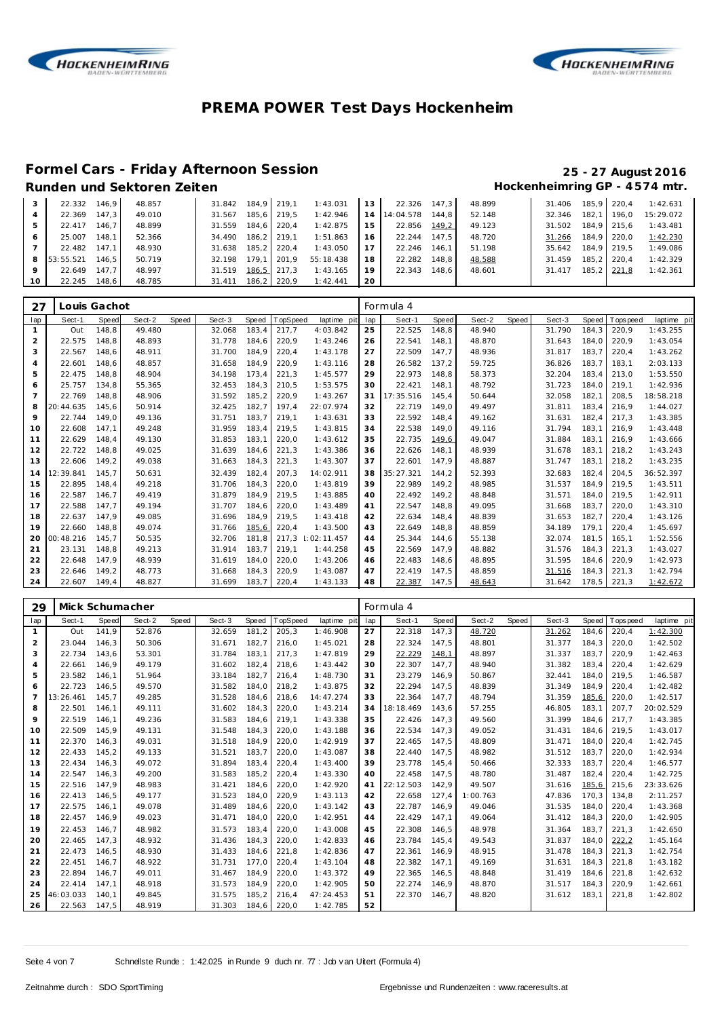



# **Formel Cars - Friday Afternoon Session 25 - 27 August 2016**

# Hockenheimring GP - 4574 mtr.

|    | 22.332    | 146.9 | 48.857 | 31.842 | 184.9 219.1 |             | 1:43.031  | 13 | 22.326    | 147.3 | 48.899 | 31.406 |       | 185.9 220.4 | 1:42.631  |
|----|-----------|-------|--------|--------|-------------|-------------|-----------|----|-----------|-------|--------|--------|-------|-------------|-----------|
|    | 22.369    | 147.3 | 49.010 | 31.567 | 185.6       | 219.5       | 1:42.946  | 14 | 14:04.578 | 144.8 | 52.148 | 32.346 | 182.1 | 196.0       | 15:29.072 |
|    | 22.417    | 146.7 | 48.899 | 31.559 |             | 184.6 220.4 | 1:42.875  | 15 | 22.856    | 149,2 | 49.123 | 31.502 |       | 184.9 215.6 | 1:43.481  |
|    | 25.007    | 148.1 | 52.366 | 34.490 | $186.2$     | 219.1       | 1:51.863  | 16 | 22.244    | 147.5 | 48.720 | 31.266 |       | 184.9 220.0 | 1:42.230  |
|    | 22.482    | 147.1 | 48.930 | 31.638 | $185.2$     | 220.4       | 1:43.050  |    | 22.246    | 146.1 | 51.198 | 35.642 |       | 184.9 219.5 | 1:49.086  |
| 8  | 53:55.521 | 146.5 | 50.719 | 32.198 | 179.1       | 201.9       | 55:18.438 | 18 | 22.282    | 148.8 | 48.588 | 31.459 | 185.2 | 220.4       | 1:42.329  |
| 9  | 22.649    | 147.7 | 48.997 | 31.519 | 186,5       | 217.3       | 1:43.165  | 19 | 22.343    | 148.6 | 48.601 | 31.417 |       | 185,2 221,8 | 1:42.361  |
| 10 | 22.245    | 148.6 | 48.785 | 31.411 | 186.2       | 220.9       | 1:42.441  | 20 |           |       |        |        |       |             |           |

| 27             |           | Louis Gachot |        |       |        |       |         |             |     | Formula 4 |       |        |       |        |       |                   |             |
|----------------|-----------|--------------|--------|-------|--------|-------|---------|-------------|-----|-----------|-------|--------|-------|--------|-------|-------------------|-------------|
| lap            | Sect-1    | Speed        | Sect-2 | Speed | Sect-3 | Speed | opSpeed | laptime pit | lap | Sect-1    | Speed | Sect-2 | Speed | Sect-3 |       | Speed   Tops peed | laptime pit |
|                | Out       | 148.8        | 49.480 |       | 32.068 | 183.4 | 217.7   | 4:03.842    | 25  | 22.525    | 148.8 | 48.940 |       | 31.790 | 184.3 | 220,9             | 1:43.255    |
| 2              | 22.575    | 148.8        | 48.893 |       | 31.778 | 184.6 | 220,9   | 1:43.246    | 26  | 22.541    | 148.1 | 48.870 |       | 31.643 | 184.0 | 220.9             | 1:43.054    |
| 3              | 22.567    | 148,6        | 48.911 |       | 31.700 | 184,9 | 220,4   | 1:43.178    | 27  | 22.509    | 147,7 | 48.936 |       | 31.817 | 183,7 | 220,4             | 1:43.262    |
| 4              | 22.601    | 148.6        | 48.857 |       | 31.658 | 184.9 | 220,9   | 1:43.116    | 28  | 26.582    | 137,2 | 59.725 |       | 36.826 | 183.7 | 183.1             | 2:03.133    |
| 5              | 22.475    | 148.8        | 48.904 |       | 34.198 | 173,4 | 221,3   | 1:45.577    | 29  | 22.973    | 148,8 | 58.373 |       | 32.204 | 183.4 | 213,0             | 1:53.550    |
| 6              | 25.757    | 134.8        | 55.365 |       | 32.453 | 184.3 | 210,5   | 1:53.575    | 30  | 22.421    | 148.1 | 48.792 |       | 31.723 | 184.0 | 219,1             | 1:42.936    |
| $\overline{7}$ | 22.769    | 148.8        | 48.906 |       | 31.592 | 185,2 | 220,9   | 1:43.267    | 31  | 17:35.516 | 145,4 | 50.644 |       | 32.058 | 182,1 | 208,5             | 18:58.218   |
| 8              | 20:44.635 | 145,6        | 50.914 |       | 32.425 | 182,7 | 197,4   | 22:07.974   | 32  | 22.719    | 149,0 | 49.497 |       | 31.811 | 183,4 | 216,9             | 1:44.027    |
| 9              | 22.744    | 149.0        | 49.136 |       | 31.751 | 183.7 | 219,1   | 1:43.631    | 33  | 22.592    | 148.4 | 49.162 |       | 31.631 | 182.4 | 217.3             | 1:43.385    |
| 10             | 22.608    | 147.1        | 49.248 |       | 31.959 | 183.4 | 219,5   | 1:43.815    | 34  | 22.538    | 149.0 | 49.116 |       | 31.794 | 183.1 | 216.9             | 1:43.448    |
| 11             | 22.629    | 148,4        | 49.130 |       | 31.853 | 183,1 | 220,0   | 1:43.612    | 35  | 22.735    | 149,6 | 49.047 |       | 31.884 | 183,1 | 216,9             | 1:43.666    |
| 12             | 22.722    | 148.8        | 49.025 |       | 31.639 | 184.6 | 221,3   | 1:43.386    | 36  | 22.626    | 148.1 | 48.939 |       | 31.678 | 183.1 | 218.2             | 1:43.243    |
| 13             | 22.606    | 149.2        | 49.038 |       | 31.663 | 184,3 | 221,3   | 1:43.307    | 37  | 22.601    | 147,9 | 48.887 |       | 31.747 | 183,1 | 218,2             | 1:43.235    |
| 14             | 12:39.841 | 145.7        | 50.631 |       | 32.439 | 182.4 | 207.3   | 14:02.911   | 38  | 35:27.321 | 144.2 | 52.393 |       | 32.683 | 182.4 | 204.5             | 36:52.397   |
| 15             | 22.895    | 148,4        | 49.218 |       | 31.706 | 184,3 | 220,0   | 1:43.819    | 39  | 22.989    | 149,2 | 48.985 |       | 31.537 | 184,9 | 219,5             | 1:43.511    |
| 16             | 22.587    | 146.7        | 49.419 |       | 31.879 | 184.9 | 219,5   | 1:43.885    | 40  | 22.492    | 149.2 | 48.848 |       | 31.571 | 184.0 | 219.5             | 1:42.911    |
| 17             | 22.588    | 147.7        | 49.194 |       | 31.707 | 184.6 | 220,0   | 1:43.489    | 41  | 22.547    | 148.8 | 49.095 |       | 31.668 | 183,7 | 220,0             | 1:43.310    |
| 18             | 22.637    | 147.9        | 49.085 |       | 31.696 | 184.9 | 219.5   | 1:43.418    | 42  | 22.634    | 148.4 | 48.839 |       | 31.653 | 182.7 | 220.4             | 1:43.126    |
| 19             | 22.660    | 148.8        | 49.074 |       | 31.766 | 185,6 | 220,4   | 1:43.500    | 43  | 22.649    | 148,8 | 48.859 |       | 34.189 | 179.1 | 220,4             | 1:45.697    |
| 20             | 00:48.216 | 145,7        | 50.535 |       | 32.706 | 181.8 | 217,3   | 1:02:11.457 | 44  | 25.344    | 144,6 | 55.138 |       | 32.074 | 181,5 | 165,1             | 1:52.556    |
| 21             | 23.131    | 148.8        | 49.213 |       | 31.914 | 183,7 | 219,1   | 1:44.258    | 45  | 22.569    | 147.9 | 48.882 |       | 31.576 | 184.3 | 221,3             | 1:43.027    |
| 22             | 22.648    | 147.9        | 48.939 |       | 31.619 | 184.0 | 220,0   | 1:43.206    | 46  | 22.483    | 148.6 | 48.895 |       | 31.595 | 184.6 | 220,9             | 1:42.973    |
| 23             | 22.646    | 149.2        | 48.773 |       | 31.668 | 184.3 | 220,9   | 1:43.087    | 47  | 22.419    | 147.5 | 48.859 |       | 31.516 | 184.3 | 221.3             | 1:42.794    |
| 24             | 22.607    | 149.4        | 48.827 |       | 31.699 | 183,7 | 220,4   | 1:43.133    | 48  | 22.387    | 147,5 | 48.643 |       | 31.642 | 178,5 | 221,3             | 1:42.672    |

| 29             | Mick Schumacher |       |        |       |        |       |          |             |     | Formula 4 |       |          |       |        |       |            |             |
|----------------|-----------------|-------|--------|-------|--------|-------|----------|-------------|-----|-----------|-------|----------|-------|--------|-------|------------|-------------|
| lap            | Sect-1          | Speed | Sect-2 | Speed | Sect-3 | Speed | TopSpeed | laptime pit | lap | Sect-1    | Speed | Sect-2   | Speed | Sect-3 | Speed | T ops peed | laptime pit |
| $\mathbf{1}$   | Out             | 141.9 | 52.876 |       | 32.659 | 181.2 | 205,3    | 1:46.908    | 27  | 22.318    | 147.3 | 48.720   |       | 31.262 | 184.6 | 220,4      | 1:42.300    |
| $\overline{2}$ | 23.044          | 146,3 | 50.306 |       | 31.671 | 182,7 | 216,0    | 1:45.021    | 28  | 22.324    | 147,5 | 48.801   |       | 31.377 | 184,3 | 220,0      | 1:42.502    |
| 3              | 22.734          | 143.6 | 53.301 |       | 31.784 | 183.1 | 217,3    | 1:47.819    | 29  | 22.229    | 148,1 | 48.897   |       | 31.337 | 183,7 | 220,9      | 1:42.463    |
| $\overline{4}$ | 22.661          | 146.9 | 49.179 |       | 31.602 | 182,4 | 218,6    | 1:43.442    | 30  | 22.307    | 147,7 | 48.940   |       | 31.382 | 183.4 | 220,4      | 1:42.629    |
| 5              | 23.582          | 146,1 | 51.964 |       | 33.184 | 182,7 | 216,4    | 1:48.730    | 31  | 23.279    | 146,9 | 50.867   |       | 32.441 | 184.0 | 219,5      | 1:46.587    |
| 6              | 22.723          | 146.5 | 49.570 |       | 31.582 | 184,0 | 218,2    | 1:43.875    | 32  | 22.294    | 147,5 | 48.839   |       | 31.349 | 184.9 | 220,4      | 1:42.482    |
| $\overline{7}$ | 13:26.461       | 145.7 | 49.285 |       | 31.528 | 184.6 | 218,6    | 14:47.274   | 33  | 22.364    | 147.7 | 48.794   |       | 31.359 | 185,6 | 220.0      | 1:42.517    |
| 8              | 22.501          | 146.1 | 49.111 |       | 31.602 | 184,3 | 220,0    | 1:43.214    | 34  | 18:18.469 | 143,6 | 57.255   |       | 46.805 | 183,1 | 207,7      | 20:02.529   |
| 9              | 22.519          | 146.1 | 49.236 |       | 31.583 | 184.6 | 219,1    | 1:43.338    | 35  | 22.426    | 147.3 | 49.560   |       | 31.399 | 184.6 | 217.7      | 1:43.385    |
| 10             | 22.509          | 145.9 | 49.131 |       | 31.548 | 184.3 | 220,0    | 1:43.188    | 36  | 22.534    | 147.3 | 49.052   |       | 31.431 | 184.6 | 219.5      | 1:43.017    |
| 11             | 22.370          | 146.3 | 49.031 |       | 31.518 | 184.9 | 220,0    | 1:42.919    | 37  | 22.465    | 147,5 | 48.809   |       | 31.471 | 184.0 | 220,4      | 1:42.745    |
| 12             | 22.433          | 145,2 | 49.133 |       | 31.521 | 183,7 | 220,0    | 1:43.087    | 38  | 22.440    | 147,5 | 48.982   |       | 31.512 | 183,7 | 220,0      | 1:42.934    |
| 13             | 22.434          | 146,3 | 49.072 |       | 31.894 | 183,4 | 220,4    | 1:43.400    | 39  | 23.778    | 145,4 | 50.466   |       | 32.333 | 183.7 | 220,4      | 1:46.577    |
| 14             | 22.547          | 146,3 | 49.200 |       | 31.583 | 185,2 | 220,4    | 1:43.330    | 40  | 22.458    | 147,5 | 48.780   |       | 31.487 | 182,4 | 220,4      | 1:42.725    |
| 15             | 22.516          | 147.9 | 48.983 |       | 31.421 | 184,6 | 220,0    | 1:42.920    | 41  | 22:12.503 | 142,9 | 49.507   |       | 31.616 | 185,6 | 215,6      | 23:33.626   |
| 16             | 22.413          | 146.5 | 49.177 |       | 31.523 | 184.0 | 220,9    | 1:43.113    | 42  | 22.658    | 127,4 | 1:00.763 |       | 47.836 | 170.3 | 134.8      | 2:11.257    |
| 17             | 22.575          | 146.1 | 49.078 |       | 31.489 | 184,6 | 220,0    | 1:43.142    | 43  | 22.787    | 146.9 | 49.046   |       | 31.535 | 184.0 | 220,4      | 1:43.368    |
| 18             | 22.457          | 146.9 | 49.023 |       | 31.471 | 184,0 | 220,0    | 1:42.951    | 44  | 22.429    | 147.1 | 49.064   |       | 31.412 | 184.3 | 220,0      | 1:42.905    |
| 19             | 22.453          | 146.7 | 48.982 |       | 31.573 | 183.4 | 220,0    | 1:43.008    | 45  | 22.308    | 146,5 | 48.978   |       | 31.364 | 183.7 | 221.3      | 1:42.650    |
| 20             | 22.465          | 147.3 | 48.932 |       | 31.436 | 184,3 | 220,0    | 1:42.833    | 46  | 23.784    | 145.4 | 49.543   |       | 31.837 | 184.0 | 222,2      | 1:45.164    |
| 21             | 22.473          | 146.5 | 48.930 |       | 31.433 | 184.6 | 221,8    | 1:42.836    | 47  | 22.361    | 146.9 | 48.915   |       | 31.478 | 184.3 | 221,3      | 1:42.754    |
| 22             | 22.451          | 146.7 | 48.922 |       | 31.731 | 177.0 | 220,4    | 1:43.104    | 48  | 22.382    | 147.1 | 49.169   |       | 31.631 | 184.3 | 221,8      | 1:43.182    |
| 23             | 22.894          | 146.7 | 49.011 |       | 31.467 | 184,9 | 220,0    | 1:43.372    | 49  | 22.365    | 146,5 | 48.848   |       | 31.419 | 184,6 | 221,8      | 1:42.632    |
| 24             | 22.414          | 147,1 | 48.918 |       | 31.573 | 184,9 | 220,0    | 1:42.905    | 50  | 22.274    | 146,9 | 48.870   |       | 31.517 | 184,3 | 220,9      | 1:42.661    |
| 25             | 46:03.033       | 140.1 | 49.845 |       | 31.575 | 185.2 | 216,4    | 47:24.453   | 51  | 22.370    | 146,7 | 48.820   |       | 31.612 | 183,1 | 221,8      | 1:42.802    |
| 26             | 22.563          | 147,5 | 48.919 |       | 31.303 | 184,6 | 220,0    | 1:42.785    | 52  |           |       |          |       |        |       |            |             |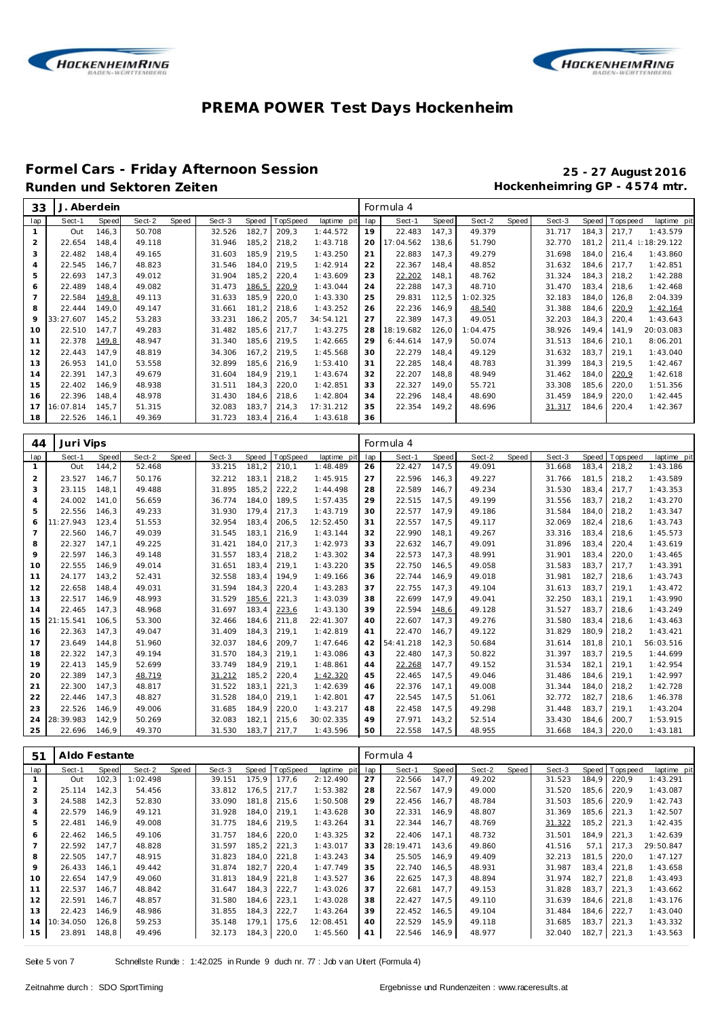



# **Formel Cars - Friday Afternoon Session 25 - 27 August 2016**

Hockenheimring GP - 4574 mtr.

| 33             | J         | . Aberdein |        |       |        |              |          |                 |     | Formula 4 |       |          |       |        |        |             |                 |
|----------------|-----------|------------|--------|-------|--------|--------------|----------|-----------------|-----|-----------|-------|----------|-------|--------|--------|-------------|-----------------|
| lap            | Sect-1    | Speed      | Sect-2 | Speed | Sect-3 | <b>Speed</b> | TopSpeed | laptime<br>pitl | lap | Sect-1    | Speed | Sect-2   | Speed | Sect-3 | Speed  | T ops pee d | laptime<br>pit  |
|                | Out       | 146.3      | 50.708 |       | 32.526 | 182,7        | 209,3    | 1:44.572        | 19  | 22.483    | 147,3 | 49.379   |       | 31.717 | 184.3  | 217,7       | 1:43.579        |
| $\overline{2}$ | 22.654    | 148.4      | 49.118 |       | 31.946 | 185,2        | 218.2    | 1:43.718        | 20  | 17:04.562 | 138,6 | 51.790   |       | 32.770 | 181.2  | 211,4       | $\pm 18:29.122$ |
| 3              | 22.482    | 148,4      | 49.165 |       | 31.603 | 185,9        | 219,5    | 1:43.250        | 21  | 22.883    | 147,3 | 49.279   |       | 31.698 | 184.0  | 216,4       | 1:43.860        |
| $\overline{a}$ | 22.545    | 146,7      | 48.823 |       | 31.546 | 184,0        | 219,5    | 1:42.914        | 22  | 22.367    | 148,4 | 48.852   |       | 31.632 | 184,6  | 217,7       | 1:42.851        |
| 5              | 22.693    | 147,3      | 49.012 |       | 31.904 | 185,2        | 220,4    | 1:43.609        | 23  | 22.202    | 148,1 | 48.762   |       | 31.324 | 184, 3 | 218,2       | 1:42.288        |
| 6              | 22.489    | 148,4      | 49.082 |       | 31.473 | 186,5        | 220,9    | 1:43.044        | 24  | 22.288    | 147,3 | 48.710   |       | 31.470 | 183,4  | 218,6       | 1:42.468        |
| $\overline{7}$ | 22.584    | 149,8      | 49.113 |       | 31.633 | 185,9        | 220,0    | 1:43.330        | 25  | 29.831    | 112,5 | 1:02.325 |       | 32.183 | 184.0  | 126,8       | 2:04.339        |
| 8              | 22.444    | 149.0      | 49.147 |       | 31.661 | 181,2        | 218,6    | 1:43.252        | 26  | 22.236    | 146.9 | 48.540   |       | 31.388 | 184.6  | 220.9       | 1:42.164        |
| 9              | 33:27.607 | 145.2      | 53.283 |       | 33.231 | 186,2        | 205,7    | 34:54.121       | 27  | 22.389    | 147,3 | 49.051   |       | 32.203 | 184.3  | 220,4       | 1:43.643        |
| 10             | 22.510    | 147,7      | 49.283 |       | 31.482 | 185,6        | 217,7    | 1:43.275        | 28  | 18:19.682 | 126,0 | 1:04.475 |       | 38.926 | 149,4  | 141,9       | 20:03.083       |
| 11             | 22.378    | 149,8      | 48.947 |       | 31.340 | 185,6        | 219,5    | 1:42.665        | 29  | 6:44.614  | 147,9 | 50.074   |       | 31.513 | 184,6  | 210,1       | 8:06.201        |
| 12             | 22.443    | 147.9      | 48.819 |       | 34.306 | 167.2        | 219,5    | 1:45.568        | 30  | 22.279    | 148,4 | 49.129   |       | 31.632 | 183.7  | 219.1       | 1:43.040        |
| 13             | 26.953    | 141.0      | 53.558 |       | 32.899 | 185,6        | 216.9    | 1:53.410        | 31  | 22.285    | 148,4 | 48.783   |       | 31.399 | 184.3  | 219.5       | 1:42.467        |
| 14             | 22.391    | 147,3      | 49.679 |       | 31.604 | 184,9        | 219,1    | 1:43.674        | 32  | 22.207    | 148,8 | 48.949   |       | 31.462 | 184,0  | 220,9       | 1:42.618        |
| 15             | 22.402    | 146,9      | 48.938 |       | 31.511 | 184,3        | 220,0    | 1:42.851        | 33  | 22.327    | 149,0 | 55.721   |       | 33.308 | 185,6  | 220,0       | 1:51.356        |
| 16             | 22.396    | 148,4      | 48.978 |       | 31.430 | 184,6        | 218,6    | 1:42.804        | 34  | 22.296    | 148,4 | 48.690   |       | 31.459 | 184,9  | 220,0       | 1:42.445        |
| 17             | 16:07.814 | 145,7      | 51.315 |       | 32.083 | 183,7        | 214,3    | 17:31.212       | 35  | 22.354    | 149,2 | 48.696   |       | 31.317 | 184,6  | 220,4       | 1:42.367        |
| 18             | 22.526    | 146.1      | 49.369 |       | 31.723 | 183.4        | 216,4    | 1:43.618        | 36  |           |       |          |       |        |        |             |                 |

| 44             | Juri Vips |              |        |       |        |       |          |             |     | Formula 4 |       |        |       |        |              |            |             |
|----------------|-----------|--------------|--------|-------|--------|-------|----------|-------------|-----|-----------|-------|--------|-------|--------|--------------|------------|-------------|
| lap            | Sect-1    | <b>Speed</b> | Sect-2 | Speed | Sect-3 | Speed | TopSpeed | laptime pit | lap | Sect-1    | Speed | Sect-2 | Speed | Sect-3 | <b>Speed</b> | Tops pee d | laptime pit |
| $\mathbf{1}$   | Out       | 144,2        | 52.468 |       | 33.215 | 181.2 | 210,1    | 1:48.489    | 26  | 22.427    | 147,5 | 49.091 |       | 31.668 | 183.4        | 218.2      | 1:43.186    |
| $\overline{2}$ | 23.527    | 146.7        | 50.176 |       | 32.212 | 183,1 | 218,2    | 1:45.915    | 27  | 22.596    | 146,3 | 49.227 |       | 31.766 | 181.5        | 218,2      | 1:43.589    |
| 3              | 23.115    | 148.1        | 49.488 |       | 31.895 | 185.2 | 222,2    | 1:44.498    | 28  | 22.589    | 146,7 | 49.234 |       | 31.530 | 183.4        | 217.7      | 1:43.353    |
| $\overline{4}$ | 24.002    | 141,0        | 56.659 |       | 36.774 | 184,0 | 189,5    | 1:57.435    | 29  | 22.515    | 147,5 | 49.199 |       | 31.556 | 183,7        | 218,2      | 1:43.270    |
| 5              | 22.556    | 146,3        | 49.233 |       | 31.930 | 179,4 | 217,3    | 1:43.719    | 30  | 22.577    | 147,9 | 49.186 |       | 31.584 | 184,0        | 218,2      | 1:43.347    |
| 6              | 11:27.943 | 123,4        | 51.553 |       | 32.954 | 183,4 | 206,5    | 12:52.450   | 31  | 22.557    | 147,5 | 49.117 |       | 32.069 | 182.4        | 218,6      | 1:43.743    |
| $\overline{7}$ | 22.560    | 146,7        | 49.039 |       | 31.545 | 183,1 | 216,9    | 1:43.144    | 32  | 22.990    | 148,1 | 49.267 |       | 33.316 | 183,4        | 218,6      | 1:45.573    |
| 8              | 22.327    | 147.1        | 49.225 |       | 31.421 | 184.0 | 217,3    | 1:42.973    | 33  | 22.632    | 146.7 | 49.091 |       | 31.896 | 183.4        | 220.4      | 1:43.619    |
| 9              | 22.597    | 146.3        | 49.148 |       | 31.557 | 183.4 | 218,2    | 1:43.302    | 34  | 22.573    | 147.3 | 48.991 |       | 31.901 | 183.4        | 220.0      | 1:43.465    |
| 10             | 22.555    | 146.9        | 49.014 |       | 31.651 | 183.4 | 219,1    | 1:43.220    | 35  | 22.750    | 146,5 | 49.058 |       | 31.583 | 183.7        | 217.7      | 1:43.391    |
| 11             | 24.177    | 143,2        | 52.431 |       | 32.558 | 183,4 | 194,9    | 1:49.166    | 36  | 22.744    | 146,9 | 49.018 |       | 31.981 | 182.7        | 218.6      | 1:43.743    |
| 12             | 22.658    | 148.4        | 49.031 |       | 31.594 | 184,3 | 220,4    | 1:43.283    | 37  | 22.755    | 147,3 | 49.104 |       | 31.613 | 183.7        | 219,1      | 1:43.472    |
| 13             | 22.517    | 146,9        | 48.993 |       | 31.529 | 185,6 | 221,3    | 1:43.039    | 38  | 22.699    | 147,9 | 49.041 |       | 32.250 | 183,1        | 219,1      | 1:43.990    |
| 14             | 22.465    | 147,3        | 48.968 |       | 31.697 | 183,4 | 223.6    | 1:43.130    | 39  | 22.594    | 148,6 | 49.128 |       | 31.527 | 183.7        | 218,6      | 1:43.249    |
| 15             | 21:15.541 | 106,5        | 53.300 |       | 32.466 | 184,6 | 211,8    | 22:41.307   | 40  | 22.607    | 147,3 | 49.276 |       | 31.580 | 183.4        | 218,6      | 1:43.463    |
| 16             | 22.363    | 147.3        | 49.047 |       | 31.409 | 184.3 | 219,1    | 1:42.819    | 41  | 22.470    | 146.7 | 49.122 |       | 31.829 | 180.9        | 218.2      | 1:43.421    |
| 17             | 23.649    | 144.8        | 51.960 |       | 32.037 | 184.6 | 209.7    | 1:47.646    | 42  | 54:41.218 | 142,3 | 50.684 |       | 31.614 | 181.8        | 210.1      | 56:03.516   |
| 18             | 22.322    | 147.3        | 49.194 |       | 31.570 | 184.3 | 219,1    | 1:43.086    | 43  | 22.480    | 147,3 | 50.822 |       | 31.397 | 183.7        | 219.5      | 1:44.699    |
| 19             | 22.413    | 145.9        | 52.699 |       | 33.749 | 184.9 | 219,1    | 1:48.861    | 44  | 22.268    | 147.7 | 49.152 |       | 31.534 | 182.1        | 219.1      | 1:42.954    |
| 20             | 22.389    | 147.3        | 48.719 |       | 31.212 | 185.2 | 220,4    | 1:42.320    | 45  | 22.465    | 147.5 | 49.046 |       | 31.486 | 184.6        | 219.1      | 1:42.997    |
| 21             | 22.300    | 147.3        | 48.817 |       | 31.522 | 183,1 | 221,3    | 1:42.639    | 46  | 22.376    | 147,1 | 49.008 |       | 31.344 | 184.0        | 218,2      | 1:42.728    |
| 22             | 22.446    | 147,3        | 48.827 |       | 31.528 | 184,0 | 219,1    | 1:42.801    | 47  | 22.545    | 147,5 | 51.061 |       | 32.772 | 182.7        | 218,6      | 1:46.378    |
| 23             | 22.526    | 146.9        | 49.006 |       | 31.685 | 184,9 | 220,0    | 1:43.217    | 48  | 22.458    | 147,5 | 49.298 |       | 31.448 | 183,7        | 219,1      | 1:43.204    |
| 24             | 28:39.983 | 142.9        | 50.269 |       | 32.083 | 182.1 | 215.6    | 30:02.335   | 49  | 27.971    | 143.2 | 52.514 |       | 33.430 | 184.6        | 200.7      | 1:53.915    |
| 25             | 22.696    | 146,9        | 49.370 |       | 31.530 | 183.7 | 217,7    | 1:43.596    | 50  | 22.558    | 147,5 | 48.955 |       | 31.668 | 184,3        | 220,0      | 1:43.181    |

| 51             | Aldo Festante |       |          |       |        |       |          |             |     | Formula 4 |       |        |       |        |       |            |             |
|----------------|---------------|-------|----------|-------|--------|-------|----------|-------------|-----|-----------|-------|--------|-------|--------|-------|------------|-------------|
| lap            | Sect-1        | Speed | Sect-2   | Speed | Sect-3 | Speed | TopSpeed | laptime pit | lap | Sect-1    | Speed | Sect-2 | Speed | Sect-3 | Speed | T ops peed | laptime pit |
|                | Out           | 102,3 | 1:02.498 |       | 39.151 | 175,9 | 177,6    | 2:12.490    | 27  | 22.566    | 147.7 | 49.202 |       | 31.523 | 184.9 | 220,9      | 1:43.291    |
| $\overline{2}$ | 25.114        | 142.3 | 54.456   |       | 33.812 | 176.5 | 217.7    | 1:53.382    | 28  | 22.567    | 147.9 | 49.000 |       | 31.520 | 185.6 | 220.9      | 1:43.087    |
| 3              | 24.588        | 142.3 | 52.830   |       | 33.090 | 181.8 | 215.6    | 1:50.508    | 29  | 22.456    | 146.7 | 48.784 |       | 31.503 | 185.6 | 220.9      | 1:42.743    |
| 4              | 22.579        | 146.9 | 49.121   |       | 31.928 | 184,0 | 219,1    | 1:43.628    | 30  | 22.331    | 146,9 | 48.807 |       | 31.369 | 185,6 | 221,3      | 1:42.507    |
| 5              | 22.481        | 146.9 | 49.008   |       | 31.775 | 184,6 | 219.5    | 1:43.264    | 31  | 22.344    | 146,7 | 48.769 |       | 31.322 | 185,2 | 221,3      | 1:42.435    |
| 6              | 22.462        | 146.5 | 49.106   |       | 31.757 | 184.6 | 220,0    | 1:43.325    | 32  | 22.406    | 147.1 | 48.732 |       | 31.501 | 184.9 | 221,3      | 1:42.639    |
|                | 22.592        | 147.7 | 48.828   |       | 31.597 | 185,2 | 221,3    | 1:43.017    | 33  | 28:19.471 | 143,6 | 49.860 |       | 41.516 | 57.1  | 217.3      | 29:50.847   |
| 8              | 22.505        | 147.7 | 48.915   |       | 31.823 | 184.0 | 221,8    | 1:43.243    | 34  | 25.505    | 146,9 | 49.409 |       | 32.213 | 181.5 | 220.0      | 1:47.127    |
| 9              | 26.433        | 146.1 | 49.442   |       | 31.874 | 182,7 | 220,4    | 1:47.749    | 35  | 22.740    | 146,5 | 48.931 |       | 31.987 | 183.4 | 221.8      | 1:43.658    |
| 10             | 22.654        | 147.9 | 49.060   |       | 31.813 | 184.9 | 221,8    | 1:43.527    | 36  | 22.625    | 147.3 | 48.894 |       | 31.974 | 182.7 | 221.8      | 1:43.493    |
| 11             | 22.537        | 146.7 | 48.842   |       | 31.647 | 184.3 | 222,7    | 1:43.026    | 37  | 22.681    | 147.7 | 49.153 |       | 31.828 | 183.7 | 221.3      | 1:43.662    |
| 12             | 22.591        | 146.7 | 48.857   |       | 31.580 | 184.6 | 223.1    | 1:43.028    | 38  | 22.427    | 147.5 | 49.110 |       | 31.639 | 184.6 | 221.8      | 1:43.176    |
| 13             | 22.423        | 146.9 | 48.986   |       | 31.855 | 184.3 | 222,7    | 1:43.264    | 39  | 22.452    | 146,5 | 49.104 |       | 31.484 | 184.6 | 222,7      | 1:43.040    |
| 14             | 10:34.050     | 126,8 | 59.253   |       | 35.148 | 179,1 | 175.6    | 12:08.451   | 40  | 22.529    | 145,9 | 49.118 |       | 31.685 | 183.7 | 221.3      | 1:43.332    |
| 15             | 23.891        | 148,8 | 49.496   |       | 32.173 | 184,3 | 220,0    | 1:45.560    | 41  | 22.546    | 146,9 | 48.977 |       | 32.040 | 182,7 | 221,3      | 1:43.563    |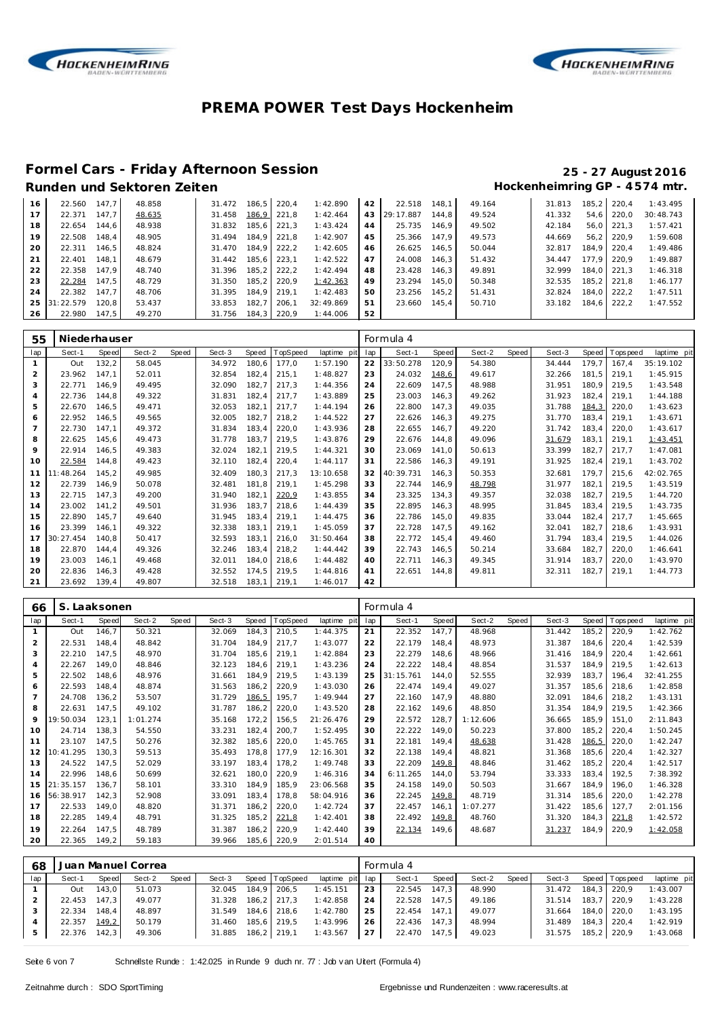



# **Formel Cars - Friday Afternoon Session 25 - 27 August 2016**

### Hockenheimring GP - 4574 mtr.

| 16 | 22.560    | 147.7 | 48.858 | 31.472 | 186.5 | 220.4 | 1:42.890  | 42 | 22.518    | 148.1 | 49.164 | 31.813 | 185.2 | 220.4 | 1:43.495  |
|----|-----------|-------|--------|--------|-------|-------|-----------|----|-----------|-------|--------|--------|-------|-------|-----------|
|    | 22.371    | 147.7 | 48.635 | 31.458 | 186,9 | 221.8 | 1:42.464  | 43 | 29:17.887 | 144.8 | 49.524 | 41.332 | 54.6  | 220.0 | 30:48.743 |
| 18 | 22.654    | 144.6 | 48.938 | 31.832 | 185.6 | 221.3 | 1:43.424  | 44 | 25.735    | 146.9 | 49.502 | 42.184 | 56.0  | 221.3 | 1:57.421  |
| 19 | 22.508    | 148.4 | 48.905 | 31.494 | 184.9 | 221.8 | 1:42.907  | 45 | 25.366    | 147.9 | 49.573 | 44.669 | 56.2  | 220.9 | 1:59.608  |
| 20 | 22.311    | 146.5 | 48.824 | 31.470 | 184.9 | 222.2 | 1:42.605  | 46 | 26.625    | 146.5 | 50.044 | 32.817 | 184.9 | 220.4 | 1:49.486  |
| 21 | 22.401    | 148.1 | 48.679 | 31.442 | 185.6 | 223.1 | 1:42.522  | 47 | 24.008    | 146.3 | 51.432 | 34.447 | 177.9 | 220.9 | 1:49.887  |
| 22 | 22.358    | 147.9 | 48.740 | 31.396 | 185.2 | 222.2 | 1:42.494  | 48 | 23.428    | 146.3 | 49.891 | 32.999 | 184.0 | 221.3 | 1:46.318  |
| 23 | 22.284    | 147.5 | 48.729 | 31.350 | 185.2 | 220.9 | 1:42.363  | 49 | 23.294    | 145.0 | 50.348 | 32.535 | 185.2 | 221.8 | 1:46.177  |
| 24 | 22.382    | 147.7 | 48.706 | 31.395 | 184.9 | 219.1 | 1:42.483  | 50 | 23.256    | 145.2 | 51.431 | 32.824 | 184.0 | 222.2 | 1:47.511  |
| 25 | 31:22.579 | 120.8 | 53.437 | 33.853 | 182.7 | 206.1 | 32:49.869 | 51 | 23.660    | 145.4 | 50.710 | 33.182 | 184.6 | 222.2 | 1:47.552  |
| 26 | 22.980    | 147.5 | 49.270 | 31.756 | 184,3 | 220,9 | 1:44.006  | 52 |           |       |        |        |       |       |           |

| 55  | Niederhauser |              |        |       |        |       |          |             |     | Formula 4 |       |        |       |        |       |            |             |
|-----|--------------|--------------|--------|-------|--------|-------|----------|-------------|-----|-----------|-------|--------|-------|--------|-------|------------|-------------|
| lap | Sect-1       | <b>Speed</b> | Sect-2 | Speed | Sect-3 | Speed | TopSpeed | laptime pit | lap | Sect-1    | Speed | Sect-2 | Speed | Sect-3 | Speed | T ops peed | laptime pit |
|     | Out          | 132,2        | 58.045 |       | 34.972 | 180,6 | 177,0    | 1:57.190    | 22  | 33:50.278 | 120,9 | 54.380 |       | 34.444 | 179,7 | 167.4      | 35:19.102   |
| 2   | 23.962       | 147.1        | 52.011 |       | 32.854 | 182.4 | 215.1    | 1:48.827    | 23  | 24.032    | 148,6 | 49.617 |       | 32.266 | 181.5 | 219.1      | 1:45.915    |
| 3   | 22.771       | 146.9        | 49.495 |       | 32.090 | 182,7 | 217.3    | 1:44.356    | 24  | 22.609    | 147.5 | 48.988 |       | 31.951 | 180.9 | 219.5      | 1:43.548    |
| 4   | 22.736       | 144.8        | 49.322 |       | 31.831 | 182,4 | 217,7    | 1:43.889    | 25  | 23.003    | 146.3 | 49.262 |       | 31.923 | 182.4 | 219.1      | 1:44.188    |
| 5   | 22.670       | 146.5        | 49.471 |       | 32.053 | 182.1 | 217.7    | 1:44.194    | 26  | 22.800    | 147.3 | 49.035 |       | 31.788 | 184,3 | 220,0      | 1:43.623    |
| 6   | 22.952       | 146.5        | 49.565 |       | 32.005 | 182.7 | 218,2    | 1:44.522    | 27  | 22.626    | 146.3 | 49.275 |       | 31.770 | 183.4 | 219.1      | 1:43.671    |
|     | 22.730       | 147.1        | 49.372 |       | 31.834 | 183,4 | 220.0    | 1:43.936    | 28  | 22.655    | 146.7 | 49.220 |       | 31.742 | 183.4 | 220.0      | 1:43.617    |
| 8   | 22.625       | 145.6        | 49.473 |       | 31.778 | 183,7 | 219,5    | 1:43.876    | 29  | 22.676    | 144.8 | 49.096 |       | 31.679 | 183,1 | 219,1      | 1:43.451    |
| 9   | 22.914       | 146.5        | 49.383 |       | 32.024 | 182.1 | 219,5    | 1:44.321    | 30  | 23.069    | 141.0 | 50.613 |       | 33.399 | 182.7 | 217.7      | 1:47.081    |
| 10  | 22.584       | 144.8        | 49.423 |       | 32.110 | 182,4 | 220,4    | 1:44.117    | 31  | 22.586    | 146.3 | 49.191 |       | 31.925 | 182,4 | 219,1      | 1:43.702    |
| 11  | 11:48.264    | 145,2        | 49.985 |       | 32.409 | 180,3 | 217,3    | 13:10.658   | 32  | 40:39.731 | 146.3 | 50.353 |       | 32.681 | 179.7 | 215.6      | 42:02.765   |
| 12  | 22.739       | 146.9        | 50.078 |       | 32.481 | 181.8 | 219,1    | 1:45.298    | 33  | 22.744    | 146.9 | 48.798 |       | 31.977 | 182.1 | 219.5      | 1:43.519    |
| 13  | 22.715       | 147.3        | 49.200 |       | 31.940 | 182,1 | 220.9    | 1:43.855    | 34  | 23.325    | 134.3 | 49.357 |       | 32.038 | 182.7 | 219.5      | 1:44.720    |
| 14  | 23.002       | 141.2        | 49.501 |       | 31.936 | 183.7 | 218.6    | 1:44.439    | 35  | 22.895    | 146.3 | 48.995 |       | 31.845 | 183.4 | 219.5      | 1:43.735    |
| 15  | 22.890       | 145,7        | 49.640 |       | 31.945 | 183,4 | 219,1    | 1:44.475    | 36  | 22.786    | 145,0 | 49.835 |       | 33.044 | 182,4 | 217.7      | 1:45.665    |
| 16  | 23.399       | 146.1        | 49.322 |       | 32.338 | 183.1 | 219.1    | 1:45.059    | 37  | 22.728    | 147.5 | 49.162 |       | 32.041 | 182.7 | 218.6      | 1:43.931    |
| 17  | 30:27.454    | 140.8        | 50.417 |       | 32.593 | 183,1 | 216.0    | 31:50.464   | 38  | 22.772    | 145.4 | 49.460 |       | 31.794 | 183.4 | 219.5      | 1:44.026    |
| 18  | 22.870       | 144.4        | 49.326 |       | 32.246 | 183,4 | 218.2    | 1:44.442    | 39  | 22.743    | 146.5 | 50.214 |       | 33.684 | 182.7 | 220.0      | 1:46.641    |
| 19  | 23.003       | 146.1        | 49.468 |       | 32.011 | 184,0 | 218,6    | 1:44.482    | 40  | 22.711    | 146.3 | 49.345 |       | 31.914 | 183.7 | 220,0      | 1:43.970    |
| 20  | 22.836       | 146.3        | 49.428 |       | 32.552 | 174,5 | 219,5    | 1:44.816    | 41  | 22.651    | 144.8 | 49.811 |       | 32.311 | 182.7 | 219,1      | 1:44.773    |
| 21  | 23.692       | 139.4        | 49.807 |       | 32.518 | 183.1 | 219,1    | 1:46.017    | 42  |           |       |        |       |        |       |            |             |

| 66             | S. Laaksonen |       |          |       |        |       |          |             |     | Formula 4 |       |          |       |        |       |            |             |
|----------------|--------------|-------|----------|-------|--------|-------|----------|-------------|-----|-----------|-------|----------|-------|--------|-------|------------|-------------|
| lap            | Sect-1       | Speed | Sect-2   | Speed | Sect-3 | Speed | TopSpeed | laptime pit | lap | Sect-1    | Speed | Sect-2   | Speed | Sect-3 | Speed | T ops peed | laptime pit |
|                | Out          | 146.7 | 50.321   |       | 32.069 | 184,3 | 210,5    | 1:44.375    | 21  | 22.352    | 147,7 | 48.968   |       | 31.442 | 185,2 | 220,9      | 1:42.762    |
| $\overline{2}$ | 22.531       | 148,4 | 48.842   |       | 31.704 | 184,9 | 217.7    | 1:43.077    | 22  | 22.179    | 148.4 | 48.973   |       | 31.387 | 184,6 | 220,4      | 1:42.539    |
| 3              | 22.210       | 147,5 | 48.970   |       | 31.704 | 185,6 | 219,1    | 1:42.884    | 23  | 22.279    | 148,6 | 48.966   |       | 31.416 | 184.9 | 220,4      | 1:42.661    |
| 4              | 22.267       | 149,0 | 48.846   |       | 32.123 | 184,6 | 219,1    | 1:43.236    | 24  | 22.222    | 148.4 | 48.854   |       | 31.537 | 184,9 | 219.5      | 1:42.613    |
| 5              | 22.502       | 148,6 | 48.976   |       | 31.661 | 184.9 | 219,5    | 1:43.139    | 25  | 31:15.761 | 144.0 | 52.555   |       | 32.939 | 183.7 | 196.4      | 32:41.255   |
| 6              | 22.593       | 148,4 | 48.874   |       | 31.563 | 186,2 | 220.9    | 1:43.030    | 26  | 22.474    | 149.4 | 49.027   |       | 31.357 | 185,6 | 218,6      | 1:42.858    |
|                | 24.708       | 136,2 | 53.507   |       | 31.729 | 186,5 | 195,7    | 1:49.944    | 27  | 22.160    | 147.9 | 48.880   |       | 32.091 | 184.6 | 218.2      | 1:43.131    |
| 8              | 22.631       | 147,5 | 49.102   |       | 31.787 | 186,2 | 220,0    | 1:43.520    | 28  | 22.162    | 149,6 | 48.850   |       | 31.354 | 184,9 | 219,5      | 1:42.366    |
| 9              | 19:50.034    | 123,1 | 1:01.274 |       | 35.168 | 172,2 | 156,5    | 21:26.476   | 29  | 22.572    | 128,7 | 1:12.606 |       | 36.665 | 185,9 | 151.0      | 2:11.843    |
| 10             | 24.714       | 138,3 | 54.550   |       | 33.231 | 182,4 | 200,7    | 1:52.495    | 30  | 22.222    | 149,0 | 50.223   |       | 37.800 | 185,2 | 220,4      | 1:50.245    |
| 11             | 23.107       | 147.5 | 50.276   |       | 32.382 | 185,6 | 220,0    | 1:45.765    | 31  | 22.181    | 149,4 | 48.638   |       | 31.428 | 186,5 | 220,0      | 1:42.247    |
| 12             | 10:41.295    | 130,3 | 59.513   |       | 35.493 | 178,8 | 177,9    | 12:16.301   | 32  | 22.138    | 149.4 | 48.821   |       | 31.368 | 185,6 | 220,4      | 1:42.327    |
| 13             | 24.522       | 147,5 | 52.029   |       | 33.197 | 183,4 | 178,2    | 1:49.748    | 33  | 22.209    | 149,8 | 48.846   |       | 31.462 | 185,2 | 220,4      | 1:42.517    |
| 14             | 22.996       | 148,6 | 50.699   |       | 32.621 | 180,0 | 220,9    | 1:46.316    | 34  | 6:11.265  | 144,0 | 53.794   |       | 33.333 | 183,4 | 192.5      | 7:38.392    |
| 15             | 21:35.157    | 136,7 | 58.101   |       | 33.310 | 184,9 | 185,9    | 23:06.568   | 35  | 24.158    | 149.0 | 50.503   |       | 31.667 | 184,9 | 196.0      | 1:46.328    |
| 16             | 56:38.917    | 142,3 | 52.908   |       | 33.091 | 183,4 | 178,8    | 58:04.916   | 36  | 22.245    | 149,8 | 48.719   |       | 31.314 | 185,6 | 220.0      | 1:42.278    |
| 17             | 22.533       | 149,0 | 48.820   |       | 31.371 | 186,2 | 220,0    | 1:42.724    | 37  | 22.457    | 146.1 | 1:07.277 |       | 31.422 | 185,6 | 127.7      | 2:01.156    |
| 18             | 22.285       | 149,4 | 48.791   |       | 31.325 | 185,2 | 221,8    | 1:42.401    | 38  | 22.492    | 149,8 | 48.760   |       | 31.320 | 184,3 | 221,8      | 1:42.572    |
| 19             | 22.264       | 147,5 | 48.789   |       | 31.387 | 186,2 | 220,9    | 1:42.440    | 39  | 22.134    | 149,6 | 48.687   |       | 31.237 | 184,9 | 220,9      | 1:42.058    |
| 20             | 22.365       | 149,2 | 59.183   |       | 39.966 | 185,6 | 220,9    | 2:01.514    | 40  |           |       |          |       |        |       |            |             |

| 68  |              |       | Juan Manuel Correa |       |                    |             |                |                 |    | Formula 4    |       |        |         |        |                 |             |
|-----|--------------|-------|--------------------|-------|--------------------|-------------|----------------|-----------------|----|--------------|-------|--------|---------|--------|-----------------|-------------|
| lap | Sect-1       | Speed | Sect-2             | Speed | Sect-3             |             | Speed TopSpeed | laptime pit lap |    | Sect-1       | Speed | Sect-2 | Speed I | Sect-3 | Speed Tops peed | laptime pit |
|     | Out          | 143.0 | 51.073             |       | 32.045             |             | 184.9 206.5    | 1:45.151        | 23 | 22.545 147.3 |       | 48.990 |         | 31.472 | 184.3 220.9     | 1:43.007    |
|     | 22.453 147,3 |       | 49.077             |       | 31.328             |             | 186,2 217,3    | 1:42.858        | 24 | 22.528 147.5 |       | 49.186 |         | 31.514 | 183.7 220.9     | 1:43.228    |
|     | 22.334       | 148.4 | 48.897             |       | 31.549             | 184,6 218,6 |                | 1:42.780        | 25 | 22.454 147.1 |       | 49.077 |         | 31.664 | 184.0 220.0     | 1:43.195    |
|     | 22.357       | 149,2 | 50.179             |       | 31.460             | 185.6 219.5 |                | 1:43.996        | 26 | 22.436 147.3 |       | 48.994 |         | 31.489 | 184.3 220.4     | 1:42.919    |
|     | 22.376       | 142,3 | 49.306             |       | 31.885 186,2 219,1 |             |                | 1:43.567        | 27 | 22.470 147.5 |       | 49.023 |         | 31.575 | 185,2 220,9     | 1:43.068    |

Seite 6 von 7 Schnellste Runde : 1:42.025 in Runde 9 duch nr. 77 : Job v an Uitert (Formula 4)